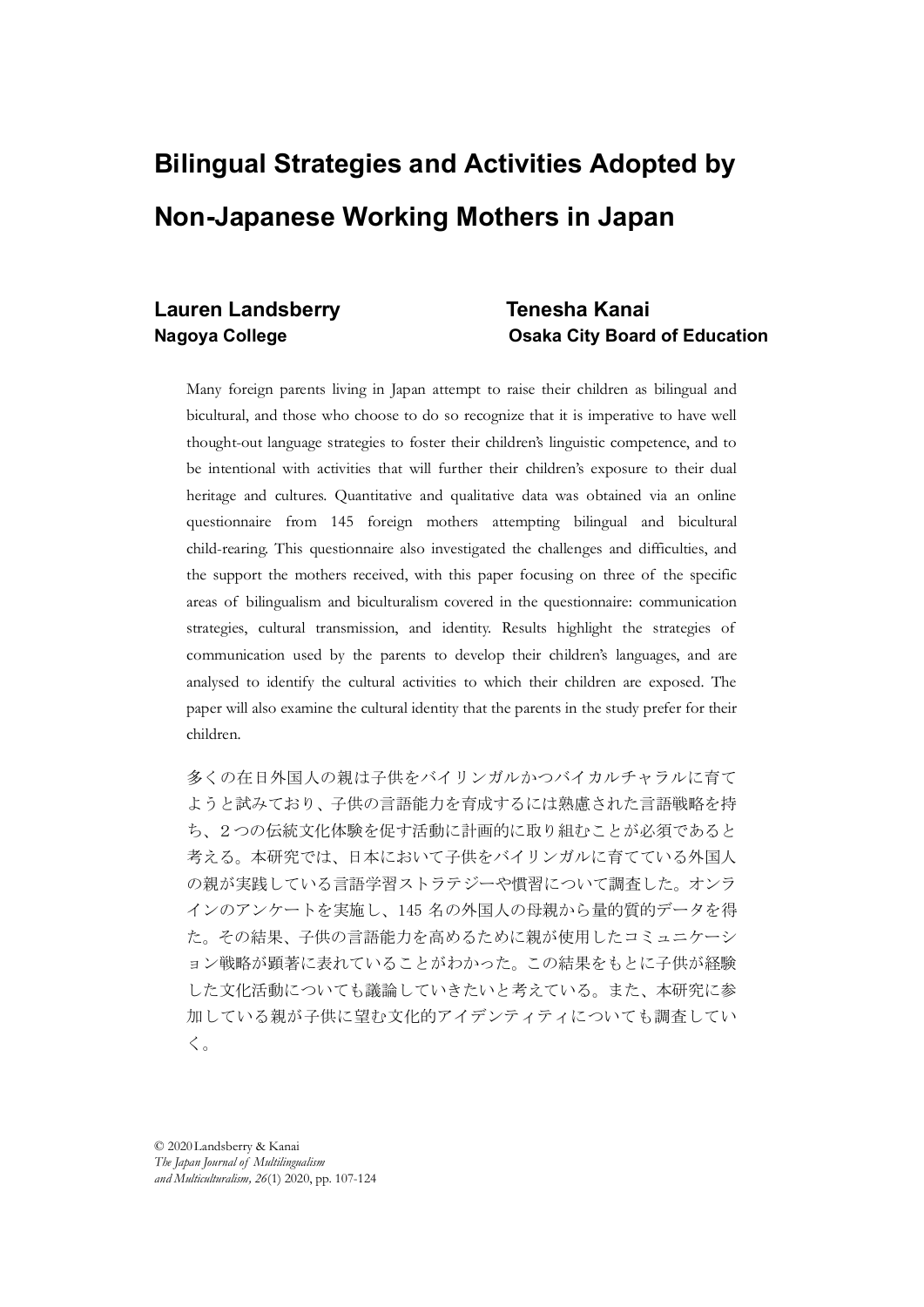# Bilingual Strategies and Activities Adopted by Non-Japanese Working Mothers in Japan

# Lauren Landsberry Tenesha Kanai

# Nagoya College **Nagoya** College **College** College **Osaka City Board of Education**

Many foreign parents living in Japan attempt to raise their children as bilingual and bicultural, and those who choose to do so recognize that it is imperative to have well thought-out language strategies to foster their children's linguistic competence, and to be intentional with activities that will further their children's exposure to their dual heritage and cultures. Quantitative and qualitative data was obtained via an online questionnaire from 145 foreign mothers attempting bilingual and bicultural child-rearing. This questionnaire also investigated the challenges and difficulties, and **The support of the mothers received, with the mothers** in **Japan** and any of College College Costa City Board of Education Many foreign parents living in Japan attempt to mise their children as bilingual and thought our l **EXECUTE ANTERT CONDUCTERT CONDUCT CONDUCT CONDUCTS IT DEPART COMPART COMPART CORRECT CORRECT CORRECT CORRECT CONDUCTS.** The present of bicurium and this imperative control of the interiorium with the contention of the co strategies, cultural transmission, and identity. Results highlight the strategies of communication used by the parents to develop their children's languages, and are analysed to identify the cultural activities to which their children are exposed. The paper will also examine the cultural identity that the parents in the study prefer for their children.

シ、シールコン、各社の言語能力を育成するには熟慮された言語戦略を持ち、といいか、これには、それは、これが、イングルに育てている外国人も、2つの伝統文化体験を促す活動に計画的に取り組むことが必須であると考える。本研究では、日本において子供をバイリンガルに育てている外国人の親が実践している言語学習ストラテジーや慣習について調査した。オンラインのアンケートを実施し、145 名の外国人の母親から量的質的データを得た。その結果、子供の言語能力を 多くの在日外国人の親は子供をバイリンガルかつバイカルチャラルに育て ようと試みており、子供の言語能力を育成するには熟慮された言語戦略を持 ち、2つの伝統文化体験を促す活動に計画的に取り組むことが必須であると 考える。本研究では、日本において子供をバイリンガルに育てている外国人 の親が実践している言語学習ストラテジーや慣習について調査した。オンラ インのアンケートを実施し、145 名の外国人の母親から量的質的データを得 た。その結果、子供の言語能力を高めるために親が使用したコミュニケーシ ョン戦略が顕著に表れていることがわかった。この結果をもとに子供が経験 した文化活動についても議論していきたいと考えている。また、本研究に参 加している親が子供に望む文化的アイデンティティについても調査してい く。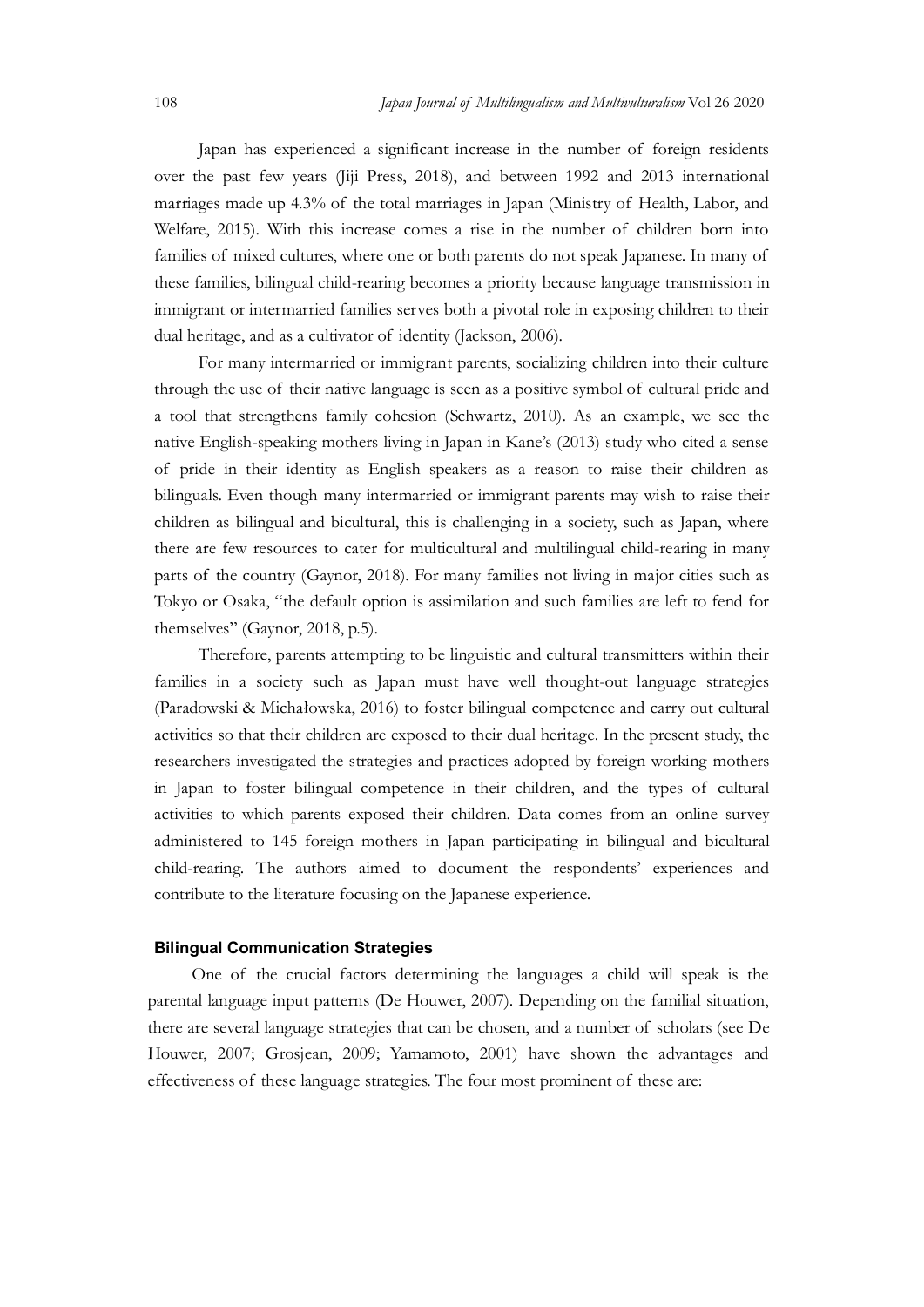Japan Journal of Multilingualism and Multivulturalism Vol 26 2020<br>Japan has experienced a significant increase in the number of foreign residents<br>over the past few years (Jiji Press, 2018), and between 1992 and 2013 intern Japan has experienced a significant increase in the number of foreign residents<br>the past few years (Jiji Press, 2018), and between 1992 and 2013 international<br>ges made up 4.3% of the total marriages in Japan (Ministry of H over the past few years (Jiji Press, 2018), and between 1992 and 2013 international marriages made up 4.3% of the total marriages in Japan (Ministry of Health, Labor, and Japan Journal of Multilingualism and Multivulturalism Vol 26 2020<br>Japan has experienced a significant increase in the number of foreign residents<br>over the past few years (Jiji Press, 2018), and between 1992 and 2013 intern families of mixed cultures, and a significant increase in the number of foreign residents<br>over the past few years (Jiji Press, 2018), and between 1992 and 2013 international<br>marriages made up 4.3% of the total marriages in these families, bilingual child-rearing becomes a priority because language transmission in immigrant or intermarried families serves both a pivotal role in exposing children to their Japan Journal of Multilingualium and Multinulturatium Vol 26 2020<br>Japan has experienced a significant increase in the number of foreign residents<br>over the past few years (Jiji Press, 2018), and between 1992 and 2013 intern

For many intermarried or immigrant parents, socializing children into their culture through the use of their native language is seen as a positive symbol of cultural pride and a tool that strengthens family cohesion (Schwartz, 2010). As an example, we see the native English-speaking mothers living in Japan in Kane's (2013) study who cited a sense *Ighan Jama Jama Jama Jama Jama Jama Jama Leon* **English speakers** and *Multimaliam* Vol 26 2020 Japan has expecienced a significant increase in the number of foreign residents over the past few years (iji) bilinguals. Even though many intermarried or immigrant parents may wish to raise their children as bilingual and bicultural, this is challenging in a society, such as Japan, where there are few resources to cater for multicultural and multilingual child-rearing in many marriages made up 4.3% of the total marriages in Japan (Ministry of Health, Labor, and Welfare, 2015). With this increase comes a rise in the number of children born into families of mixed cultures, where one or both paren Tokyo or Osaka, "the default option is assimilation and such families are left to fend for themselves" (Gaynor, 2018, p.5).

Therefore, parents attempting to be linguistic and cultural transmitters within their families in a society such as Japan must have well thought-out language strategies (Paradowski & Michałowska, 2016) to foster bilingual competence and carry out cultural activities so that their children are exposed to their dual heritage. In the present study, the researchers investigated the strategies and practices adopted by foreign working mothers in Japan to foster bilingual competence in their children, and the types of cultural activities to which parents exposed their children. Data comes from an online survey administered to 145 foreign mothers in Japan participating in bilingual and bicultural child-rearing. The authors aimed to document the respondents' experiences and contribute to the literature focusing on the Japanese experience. one Osaka, "the default option is assimilation and such families are left to fend for<br>
"Therefore, parents attempting to be linguistic and cultural transmitters within their<br>
"Therefore, parents attempting to be linguistic Therefore, parents attempting to be linguistic and cultural transmitters within their<br>families in a society such as Japan must have well thought-out language strategies<br>(Paradowski & Michalowska, 2016) to foster bilingual

#### Bilingual Communication Strategies

parental language input patterns (De Houwer, 2007). Depending on the familial situation, Houwer, 2007; Grosjean, 2009; Yamamoto, 2001) have shown the advantages and effectiveness of these language strategies. The four most prominent of these are: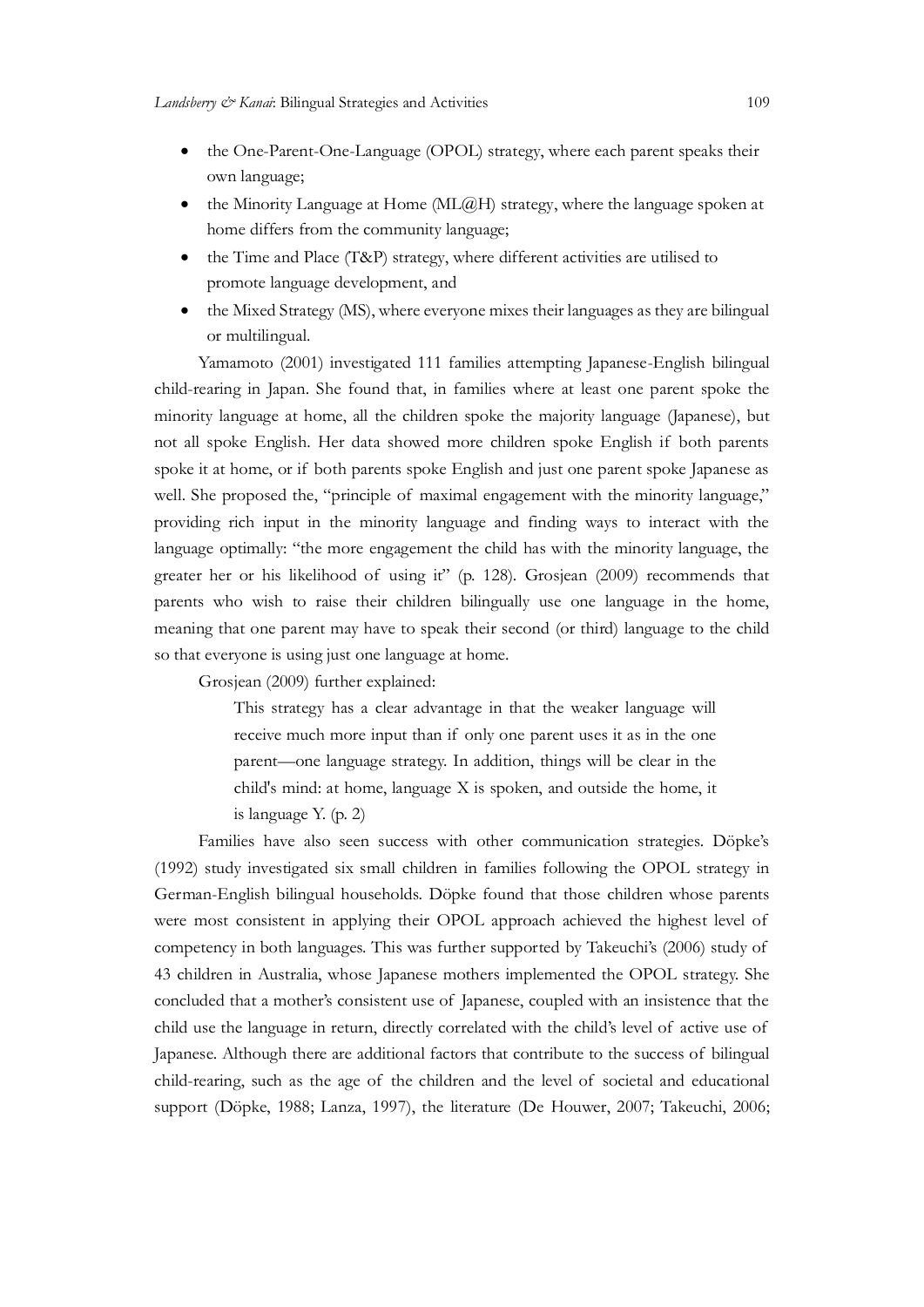- the One-Parent-One-Language (OPOL) strategy, where each parent speaks their own language;
- the Minority Language at Home ( $ML@$ H) strategy, where the language spoken at home differs from the community language;
- the Time and Place (T&P) strategy, where different activities are utilised to promote language development, and
- the Mixed Strategy (MS), where everyone mixes their languages as they are bilingual or multilingual.

Yamamoto (2001) investigated 111 families attempting Japanese-English bilingual child-rearing in Japan. She found that, in families where at least one parent spoke the minority language at home, all the children spoke the majority language (Japanese), but not all spoke English. Her data showed more children spoke English if both parents spoke it at home, or if both parents spoke English and just one parent spoke Japanese as well. She proposed the, "Brinciple of maximal engagement with the minority language income influence (Tech) strategy, where the changuage spoken at home differs from the community language; where different activities are providing rich input in the minority language and finding ways to interact with the language optimally: "the more engagement the child has with the minority language, the **e** the Minority Language at Home (ML@H) strategy, where the language spoken at home differs from the community language;<br> **e** the Time and Place (T&P) strategy, where different activities are utilised to promote language parents who wish to raise their children bilingually use one language in the home, meaning that one parent may have to speak their second (or third) language to the child so that everyone is using just one language at home. moto (2001) investigated 111 families attempting Japanese-English bilingual<br>g in Japan. She found that, in families where at least one parent spoke the<br>guagear at home, all the children spoke the maintyin Janguage (Japane

Grosjean (2009) further explained:

This strategy has a clear advantage in that the weaker language will parent—one language strategy. In addition, things will be clear in the child's mind: at home, language X is spoken, and outside the home, it is language Y. (p. 2)

Families have also seen success with other communication strategies. Döpke's (1992) study investigated six small children in families following the OPOL strategy in German-English bilingual households. Döpke found that those children whose parents were most consistent in applying their OPOL approach achieved the highest level of greater her or his likelihood of using it" (p. 128). Grosjean (2009) recommends that<br>parenas who wish to raise their children bilingually use one language in the home,<br>meaning that one parent may have to speak their scoond 43 children in Australia, whose Japanese mothers implemented the OPOL strategy. She meaning that one parent may have to speak their second (or third) language to the child<br>so that everyone is using just one language at home.<br>Grossical (2009) Jurther explained:<br>This strategy has a clear advantage in that t so that everyone is using just one language at home.<br>
Grossjent (2009) further explained:<br>
This stategy has a clear advantage in that the weaker language will<br>
receive much more input than if only one parent uses it as in Japanese. Although there are additional factors that contribute to the success of bilingual This strategy has a clear advantage in that the weaker language will<br>receive meth more input than if only one parent uses it as in the one<br>parent—one language strategy. In addition, things will be clear in the<br>child's min support (Döpke, 1988; Lanza, 1997), the literature (De Houwer, 2007; Takeuchi, 2006;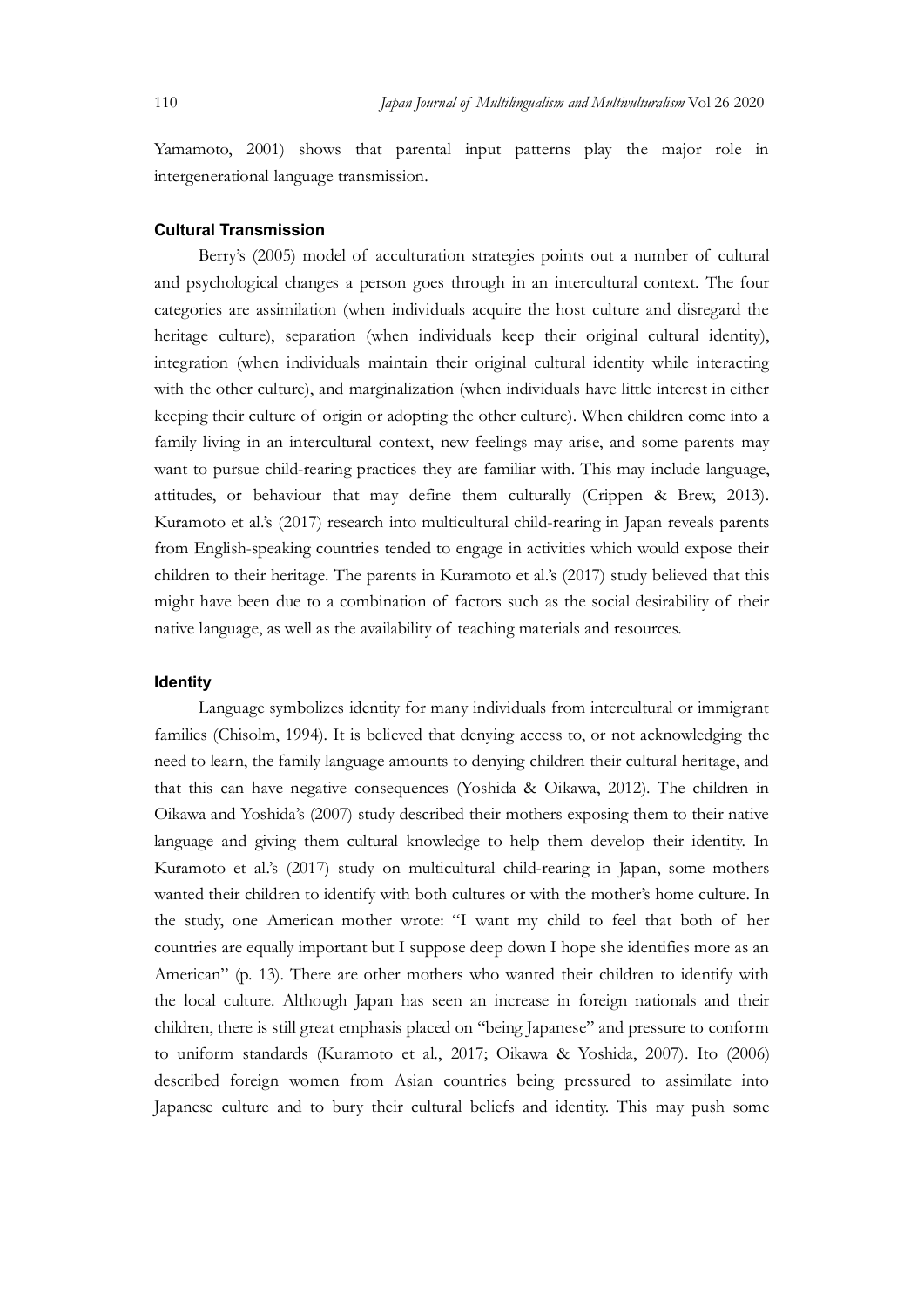110 Japan Journal of Multilingualism and Multivulturalism Vol 26 2020<br>
12 Yamamoto, 2001) shows that parental input patterns play the major role in<br>
12 intergenerational language transmission. Yamamoto, 2001) shows that parental input patterns play the major role in intergenerational language transmission.

### Cultural Transmission

Japan Journal of Multibugaalism and Multibularalism Vol 26 2020<br>
moto, 2001) shows that parental input patterns play the major role in<br>
merational language transmission.<br> **ral Transmission**<br>
Berry's (2005) model of accultu and psychological changes a person goes through in an intercultural context. The four categories are assimilation (when individuals acquire the host culture and disregard the heritage culture), separation (when individuals keep their original cultural identity), integration (when individuals maintain their original cultural identity while interacting with the other culture), and marginalization (when individuals have little interest in either *lapan fournal of Multitingualism and Multitularation* Vo126 2020<br> **Yamamoto,** 2001) shows that parental input patterns play the major role in<br>
intergenerational language transmission.<br> **Cultural Transmission**<br>
Berry's (20 family living in an intercultural context, new feelings may arise, and some parents may want to pursue child-rearing practices they are familiar with. This may include language, attitudes, or behaviour that may define them culturally (Crippen & Brew, 2013). Kuramoto et al.'s (2017) research into multicultural child-rearing in Japan reveals parents from English-speaking countries tended to engage in activities which would expose their children to their heritage. The parents in Kuramoto et al.'s (2017) study believed that this **Cultural Transmission**<br>
Berry's (2005) model of acculturation strategies points out a number of cultural<br>
and psychological changes a person goes through in an intercultural context. The four<br>
categories are assimilation Berry's (2005) model of acculturation strategies points out a number of cultural<br>and psychological changes a person goes through in an intercultural context. The four<br>extegories are assimilation (when individuals sequire t

#### **Identity**

Language symbolizes identity for many individuals from intercultural or immigrant families (Chisolm, 1994). It is believed that denying access to, or not acknowledging the need to learn, the family language amounts to denying children their cultural heritage, and that this can have negative consequences (Yoshida & Oikawa, 2012). The children in Oikawa and Yoshida's (2007) study described their mothers exposing them to their native language and giving them cultural knowledge to help them develop their identity. In Kuramoto et al.'s (2017) study on multicultural child-rearing in Japan, some mothers wanted their children to identify with both cultures or with the mother's home culture. In from English-speaking countries tended to engage in activities which would expose their shingth have been due to a combination of factors such as the social desirability of their might have been due to a combination of fac countries are equally important but I suppose deep down I hope she identifies more as an American" (p. 13). There are other mothers who wanted their children to identify with the local culture. Although Japan has seen an increase in foreign nationals and their children, there is still great emphasis placed on "being Japanese" and pressure to conform to uniform standards (Kuramoto et al., 2017; Oikawa & Yoshida, 2007). Ito (2006) described foreign women from Asian countries being pressured to assimilate into Japanese culture and to bury their cultural beliefs and identity. This may push some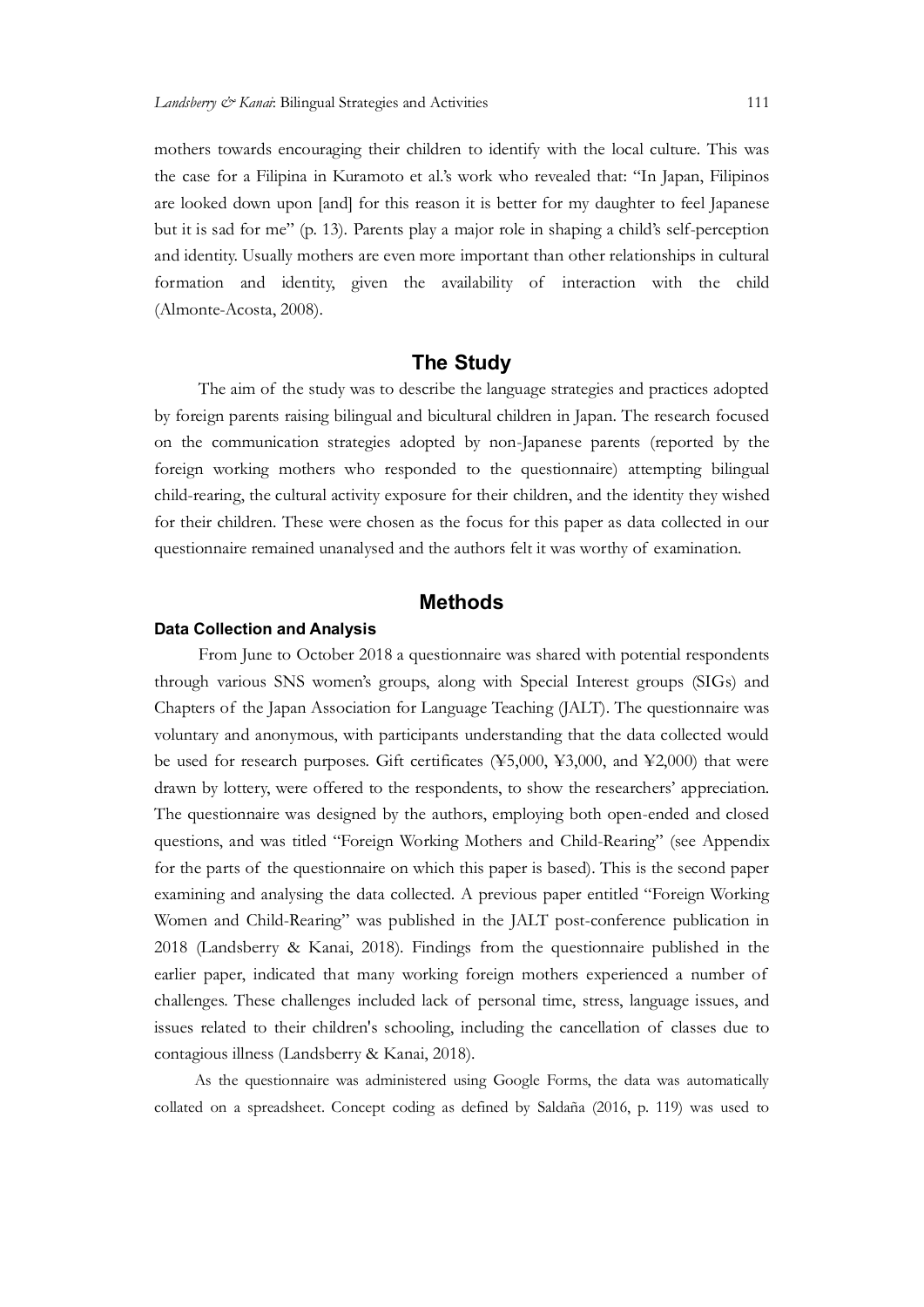mothers towards encouraging their children to identify with the local culture. This was the case for a Filipina in Kuramoto et al.'s work who revealed that: "In Japan, Filipinos are looked down upon [and] for this reason it is better for my daughter to feel Japanese but it is sad for me" (p. 13). Parents play a major role in shaping a child's self-perception and identity. Usually mothers are even more important than other relationships in cultural formation and identity, given the availability of interaction with the child (Almonte-Acosta, 2008).

# The Study

The aim of the study was to describe the language strategies and practices adopted by foreign parents raising bilingual and bicultural children in Japan. The research focused on the communication strategies adopted by non-Japanese parents (reported by the foreign working mothers who responded to the questionnaire) attempting bilingual child-rearing, the cultural activity exposure for their children, and the identity they wished for their children. These were chosen as the focus for this paper as data collected in our questionnaire remained unanalysed and the authors felt it was worthy of examination.

# Methods

### Data Collection and Analysis

From June to October 2018 a questionnaire was shared with potential respondents through various SNS women's groups, along with Special Interest groups (SIGs) and Chapters of the Japan Association for Language Teaching (JALT). The questionnaire was voluntary and anonymous, with participants understanding that the data collected would be used for research purposes. Gift certificates  $(\text{\textless} 5,000, \text{\textless} 3,000, \text{ and } \text{\textless} 2,000)$  that were drawn by lottery, were offered to the respondents, to show the researchers' appreciation. The questionnaire was designed by the authors, employing both open-ended and closed questions, and was titled "Foreign Working Mothers and Child-Rearing" (see Appendix for the parts of the questionnaire on which this paper is based). This is the second paper examining and analysing the data collected. A previous paper entitled "Foreign Working Women and Child-Rearing" was published in the JALT post-conference publication in 2018 (Landsberry & Kanai, 2018). Findings from the questionnaire published in the earlier paper, indicated that many working foreign mothers experienced a number of challenges. These challenges included lack of personal time, stress, language issues, and From June to October 2018 a questionnaire was shared with potential respondents<br>through various SNS women's groups, along with Special Interest groups<br>Chapters of the Japan Association for Language Teaching (JALT). The que contagious illness (Landsberry & Kanai, 2018).

As the questionnaire was administered using Google Forms, the data was automatically collated on a spreadsheet. Concept coding as defined by Saldaña (2016, p. 119) was used to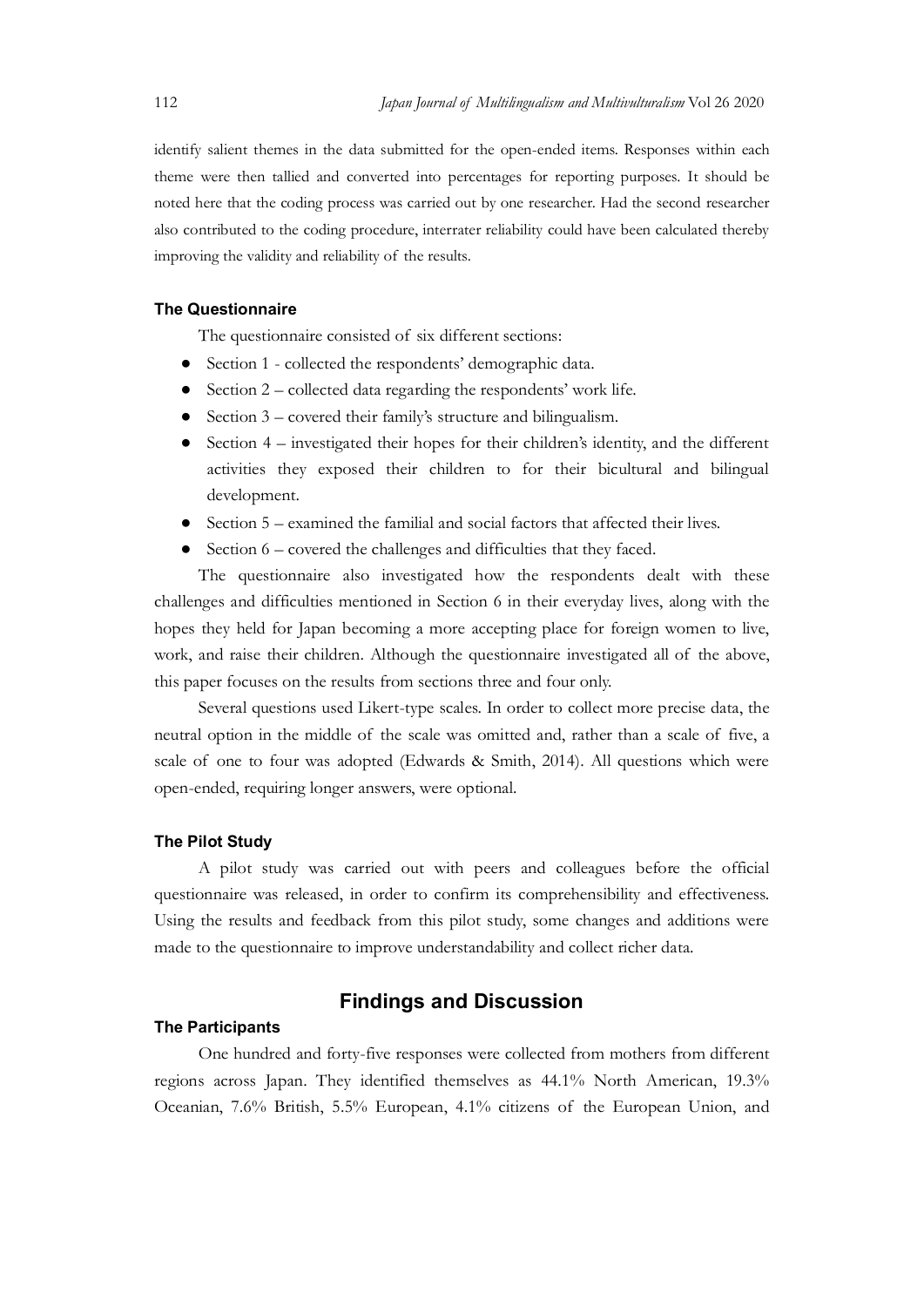112<br>Japan Journal of Multilingualism and Multivulturalism Vol 26 2020<br>identify salient themes in the data submitted for the open-ended items. Responses within each<br>theme were then tallied and converted into percentages for identify salient themes in the data submitted for the open-ended items. Responses within each theme were then tallied and converted into percentages for reporting purposes. It should be noted here that the coding process was carried out by one researcher. Had the second researcher also contributed to the coding procedure, interrater reliability could have been calculated thereby improving the validity and reliability of the results.

### The Questionnaire

The questionnaire consisted of six different sections:

- Section 1 collected the respondents' demographic data.
- Section 2 collected data regarding the respondents' work life.
- Section  $3$  covered their family's structure and bilingualism.
- $\bullet$  Section 4 investigated their hopes for their children's identity, and the different activities they exposed their children to for their bicultural and bilingual development.
- Section 5 examined the familial and social factors that affected their lives.
- $\epsilon$  Section  $6$  covered the challenges and difficulties that they faced.

The questionnaire also investigated how the respondents dealt with these challenges and difficulties mentioned in Section 6 in their everyday lives, along with the hopes they held for Japan becoming a more accepting place for foreign women to live, The Questionnaire<br>
The questionnaire consisted of six different sections:<br>
• Section 1 - collected the respondents' demographic data.<br>
• Section 3 – covered their family's structure and bilingualism.<br>
• Section 4 – invest this paper focuses on the results from sections three and four only. • Section 1 - collected the respondents' demographic data.<br>
• Section 2 – collected data regarding the respondents' work life.<br>
• Section 4 – investigated their homes for their childing and the different<br>
• Section 4 –

Several questions used Likert-type scales. In order to collect more precise data, the scale of one to four was adopted (Edwards  $\&$  Smith, 2014). All questions which were open-ended, requiring longer answers, were optional.

## The Pilot Study

A pilot study was carried out with peers and colleagues before the official questionnaire was released, in order to confirm its comprehensibility and effectiveness. Using the results and feedback from this pilot study, some changes and additions were made to the questionnaire to improve understandability and collect richer data.

# Findings and Discussion

#### The Participants

One hundred and forty-five responses were collected from mothers from different regions across Japan. They identified themselves as 44.1% North American, 19.3% Oceanian, 7.6% British, 5.5% European, 4.1% citizens of the European Union, and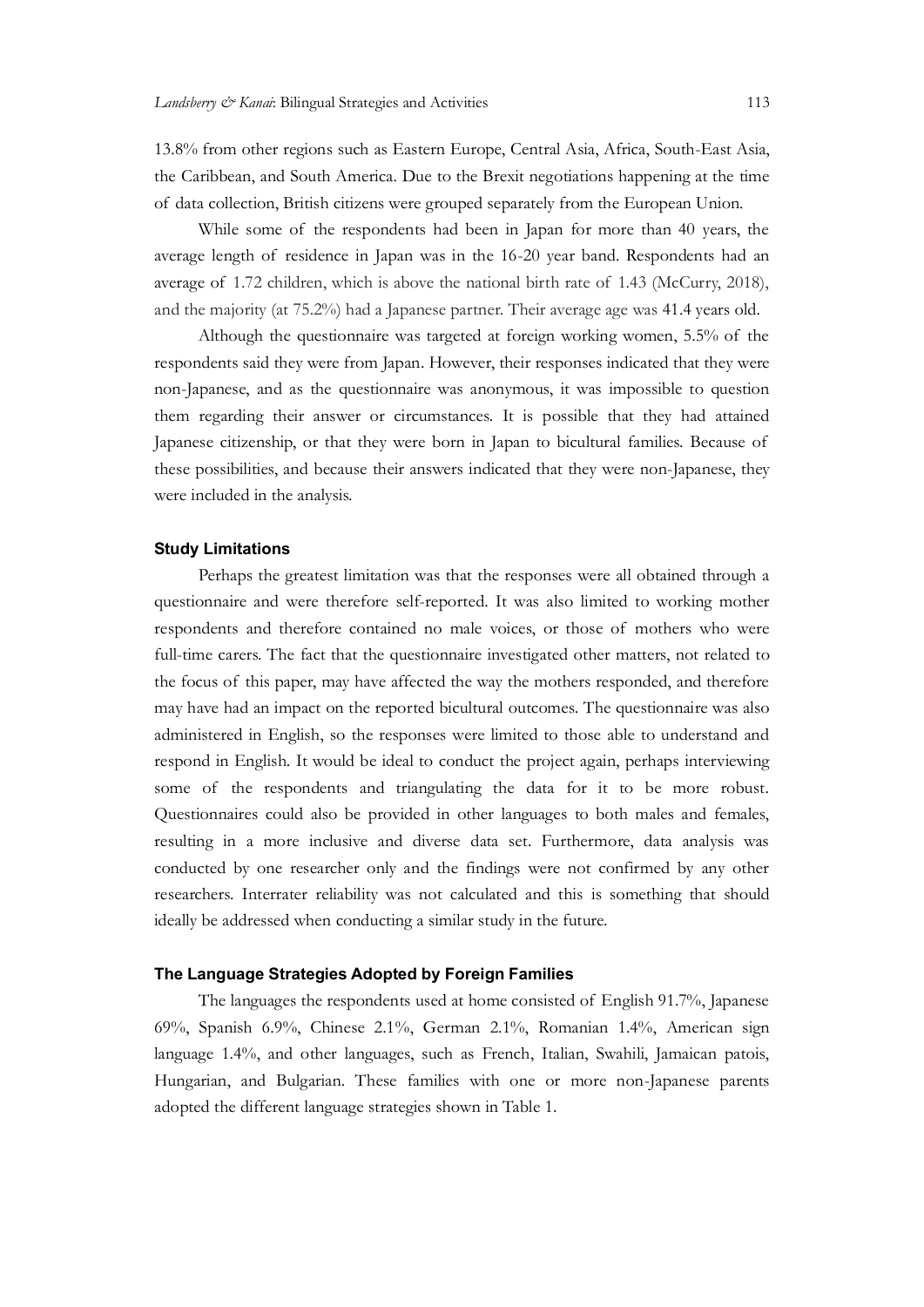13.8% from other regions such as Eastern Europe, Central Asia, Africa, South-East Asia, the Caribbean, and South America. Due to the Brexit negotiations happening at the time

*Landsberry & Kanai:* Bilingual Strategies and Activities 113.8% from other regions such as Eastern Europe, Central Asia, Africa, South-East Asia, the Caribbean, and South America. Due to the Brexit negotiations happening While some of the respondents had been in Japan for more than 40 years, the average length of residence in Japan was in the 16-20 year band. Respondents had an Landsberry  $\phi$  Kanat Bilingual Strategies and Activities (113<br>13.8% from other regions such as Eastern Europe, Central Asia, Africa, South-East Asia,<br>the Caribbean, and South America. Due to the Brexit negotiations happe and the majority (at 75.2%) had a Japanese partner. Their average age was 41.4 years old.

Form other regions such as Eastern Europe, Central Asia, Africa, South-East Asia, aribbean, and South America. Due to the Brexit negotiations happening at the time a collection, British citizens were grouped separately fro respondents said they were from Japan. However, their responses indicated that they were non-Japanese, and as the questionnaire was anonymous, it was impossible to question them regarding their answer or circumstances. It is possible that they had attained Japanese citizenship, or that they were born in Japan to bicultural families. Because of these possibilities, and because their answers indicated that they were non-Japanese, they were included in the analysis.

### Study Limitations

Perhaps the greatest limitation was that the responses were all obtained through a questionnaire and were therefore self-reported. It was also limited to working mother respondents and therefore contained no male voices, or those of mothers who were full-time carers. The fact that the questionnaire investigated other matters, not related to and the majority (at 75.2%) had a Japancse partner. Their average age was 41.4 years old.<br>
Although the questionnaire was targeted at foreign working women, 5.5% of the<br>
respondents said they were from Japan. However, thei may have had an impact on the reported bicultural outcomes. The questionnaire was also administered in English, so the responses were limited to those able to understand and respond in English. It would be ideal to conduct the project again, perhaps interviewing some of the respondents and triangulating the data for it to be more robust. Questionnaires could also be provided in other languages to both males and females, resulting in a more inclusive and diverse data set. Furthermore, data analysis was conducted by one researcher only and the findings were not confirmed by any other researchers. Interrater reliability was not calculated and this is something that should ideally be addressed when conducting a similar study in the future. meass and therefore contained no male voices, or those of mothers who were<br>exteres the paper, may have affected the way the mothers responded, and therefore<br>ave bad an impact on the reported bicultural outcomes. The questi

### The Language Strategies Adopted by Foreign Families

69%, Spanish 6.9%, Chinese 2.1%, German 2.1%, Romanian 1.4%, American sign language 1.4%, and other languages, such as French, Italian, Swahili, Jamaican patois, Hungarian, and Bulgarian. These families with one or more non-Japanese parents adopted the different language strategies shown in Table 1.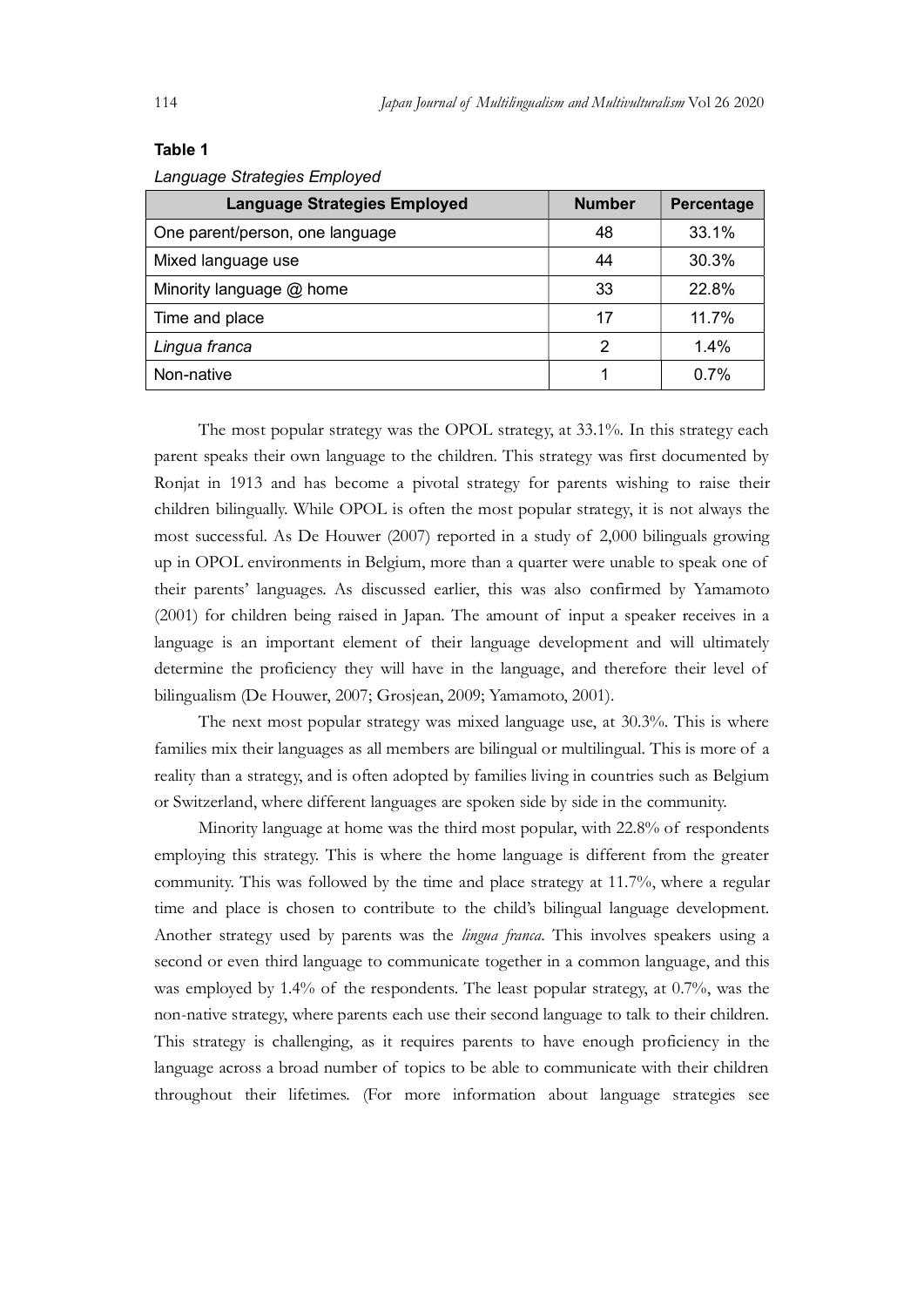| 114<br>Japan Journal of Multilingualism and Multivulturalism Vol 26 2020 |                |            |
|--------------------------------------------------------------------------|----------------|------------|
| Table 1                                                                  |                |            |
| Language Strategies Employed                                             |                |            |
| <b>Language Strategies Employed</b>                                      | <b>Number</b>  | Percentage |
| One parent/person, one language                                          | 48             | 33.1%      |
| Mixed language use                                                       | 44             | 30.3%      |
| Minority language @ home                                                 | 33             | 22.8%      |
| Time and place                                                           | 17             | 11.7%      |
| Lingua franca                                                            | $\overline{2}$ | 1.4%       |

#### Table 1

The most popular strategy was the OPOL strategy, at 33.1%. In this strategy each parent speaks their own language to the children. This strategy was first documented by Ronjat in 1913 and has become a pivotal strategy for parents wishing to raise their children bilingually. While OPOL is often the most popular strategy, it is not always the **Language Strategies Employed**<br> **Language Strategies Employed**<br> **One parent/person, one language**<br>
Mixed language use  $\frac{48}{30.3\%}$ <br>
Mixed language (abome<br> **The and place (b)** browners  $\frac{44}{17}$ <br> **The most popular str** up in OPOL environments in Belgium, more than a quarter were unable to speak one of their parents' languages. As discussed earlier, this was also confirmed by Yamamoto (2001) for children being raised in Japan. The amount of input a speaker receives in a language is an important element of their language development and will ultimately determine the proficiency they will have in the language, and therefore their level of bilingualism (De Houwer, 2007; Grosjean, 2009; Yamamoto, 2001). **Son-native** 10.7%<br>
The most popular strategy was the OPOL strategy, at 33.1%. In this strategy each<br>
parent speaks their own language to the children. This strategy was first documented by<br>
Ronjat in 1913 and has become

The next most popular strategy was mixed language use, at 30.3%. This is where reality than a strategy, and is often adopted by families living in countries such as Belgium or Switzerland, where different languages are spoken side by side in the community.

Minority language at home was the third most popular, with 22.8% of respondents employing this strategy. This is where the home language is different from the greater community. This was followed by the time and place strategy at 11.7%, where a regular time and place is chosen to contribute to the child's bilingual language development. Another strategy used by parents was the *lingua franca*. This involves speakers using a second or even third language to communicate together in a common language, and this was employed by 1.4% of the respondents. The least popular strategy, at 0.7%, was the non-native strategy, where parents each use their second language to talk to their children. This strategy is challenging, as it requires parents to have enough proficiency in the bilingualism (De Houwer, 2007; Grosjean, 2009; Yamamoto, 2001). The next most popular strategy axes a and angle to set a framilies mix their language to all members are bilingual or multilingual. This is more of a framilie throughout their lifetimes. (For more information about language strategies see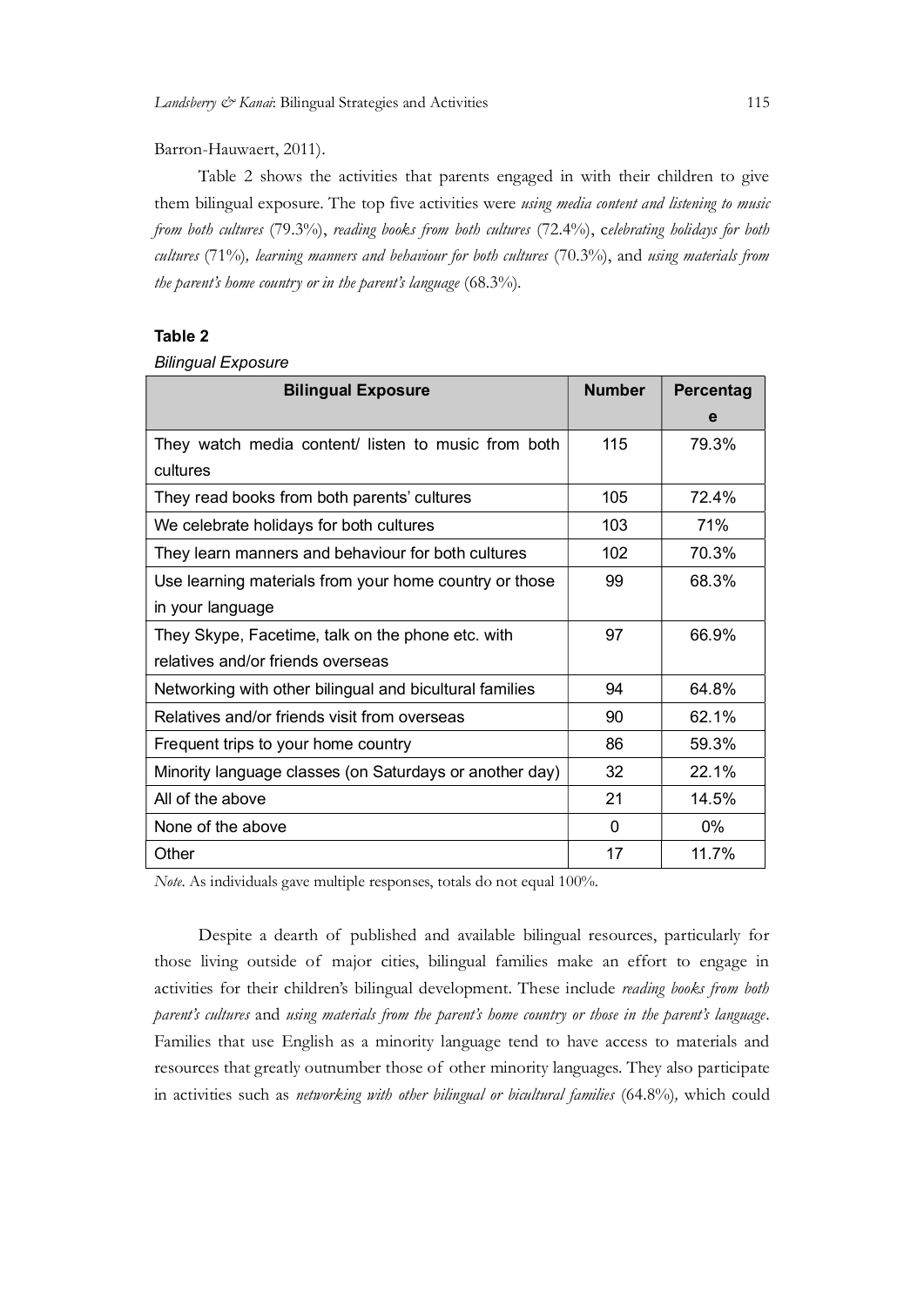### Barron-Hauwaert, 2011).

Table 2 shows the activities that parents engaged in with their children to give them bilingual exposure. The top five activities were *using media content and listening to music* from both cultures (79.3%), reading books from both cultures (72.4%), celebrating holidays for both cultures (71%), learning manners and behaviour for both cultures (70.3%), and using materials from the parent's home country or in the parent's language  $(68.3\%)$ .

## Table 2

#### Bilingual Exposure

| <b>Bilingual Exposure</b>                                                                               | <b>Number</b> | Percentag   |
|---------------------------------------------------------------------------------------------------------|---------------|-------------|
|                                                                                                         |               | $\mathbf e$ |
| They watch media content/ listen to music from both                                                     | 115           | 79.3%       |
| cultures                                                                                                |               |             |
| They read books from both parents' cultures                                                             | 105           | 72.4%       |
| We celebrate holidays for both cultures                                                                 | 103           | 71%         |
| They learn manners and behaviour for both cultures                                                      | 102           | 70.3%       |
| Use learning materials from your home country or those                                                  | 99            | 68.3%       |
| in your language                                                                                        |               |             |
| They Skype, Facetime, talk on the phone etc. with                                                       | 97            | 66.9%       |
| relatives and/or friends overseas                                                                       |               |             |
| Networking with other bilingual and bicultural families                                                 | 94            | 64.8%       |
| Relatives and/or friends visit from overseas                                                            | 90            | 62.1%       |
| Frequent trips to your home country                                                                     | 86            | 59.3%       |
| Minority language classes (on Saturdays or another day)                                                 | 32            | 22.1%       |
| All of the above                                                                                        | 21            | 14.5%       |
| None of the above                                                                                       | $\mathbf 0$   | 0%          |
| Other                                                                                                   | 17            | 11.7%       |
| Note. As individuals gave multiple responses, totals do not equal 100%.                                 |               |             |
|                                                                                                         |               |             |
| Despite a dearth of published and available bilingual resources, particularly for                       |               |             |
| those living outside of major cities, bilingual families make an effort to engage in                    |               |             |
| activities for their children's bilingual development. These include <i>reading books from both</i>     |               |             |
| parent's cultures and using materials from the parent's home country or those in the parent's language. |               |             |
| Families that use English as a minority language tend to have access to materials and                   |               |             |

those living outside of major cities, bilingual families make an effort to engage in activities for their children's bilingual development. These include *reading books from both* parent's cultures and using materials from the parent's home country or those in the parent's language.<br>Families that use English as a minority language tend to have access to materials and resources that greatly outnumber those of other minority languages. They also participate in activities such as networking with other bilingual or bicultural families (64.8%), which could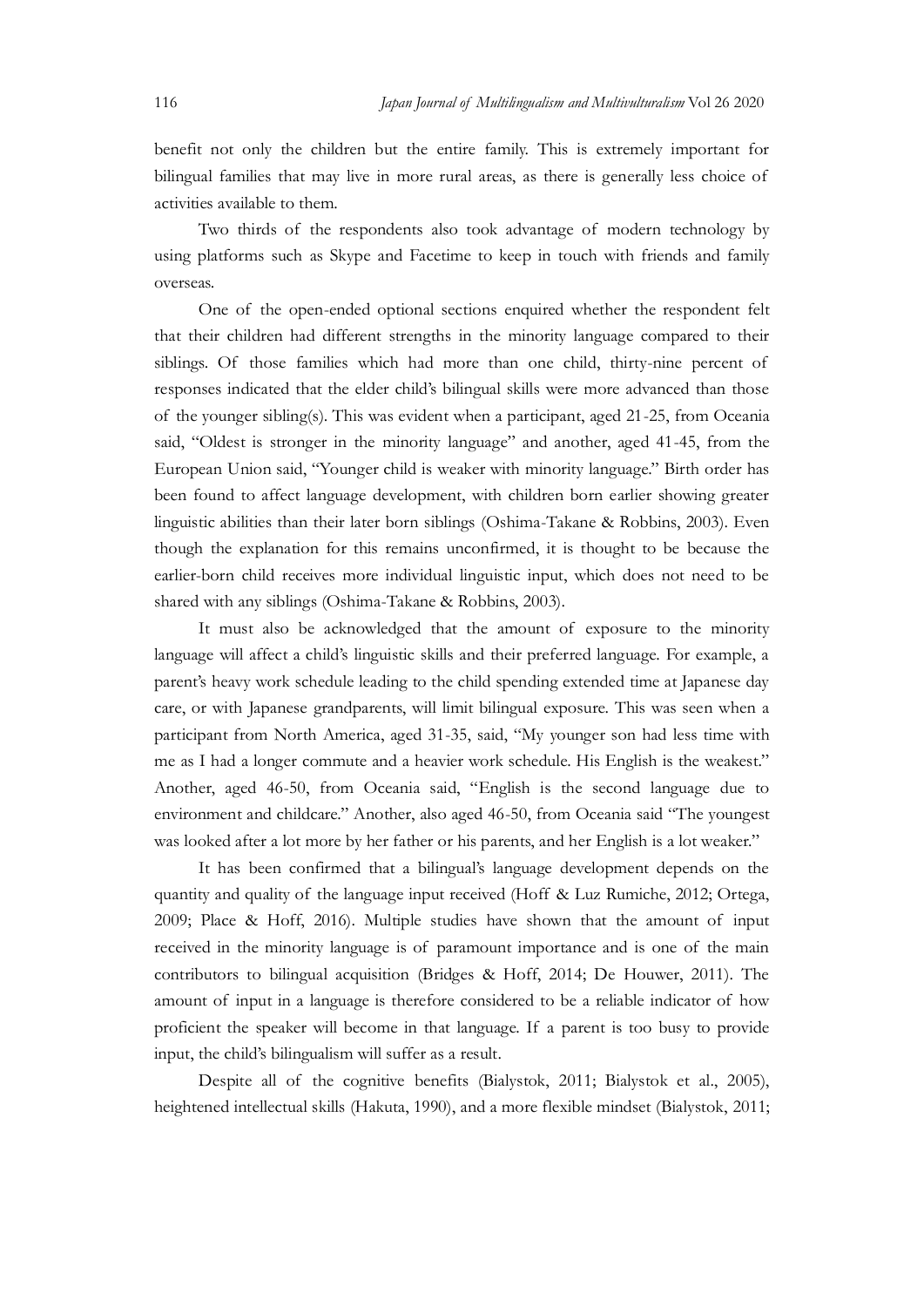Japan Journal of Multilingualism and Multivulturalism Vol 26 2020<br>
benefit not only the children but the entire family. This is extremely important for<br>
bilingual families that may live in more rural areas, as there is gen benefit not only the children but the entire family. This is extremely important for Japan Journal of Multilingualism and Multivulturalism Vol 26 2020<br>benefit not only the children but the entire family. This is extremely important for<br>bilingual families that may live in more rural areas, as there is gener activities available to them.

Two thirds of the respondents also took advantage of modern technology by using platforms such as Skype and Facetime to keep in touch with friends and family overseas.

One of the open-ended optional sections enquired whether the respondent felt that their children had different strengths in the minority language compared to their Siblington Internal of Multilingualism and Multimlandian Vol 26 2020<br>
Denefit not only the children but the entire family. This is extremely important for<br>
Diffigual families that may live in more rural areas, as there is responses indicated that the elder child's bilingual skills were more advanced than those *Japan Journal of Multitingualism and Multimultaralism* Vol 26 2020<br>benefit not only the children but the entire family. This is extremely important for<br>bilingual families that may live in more rural areas, as there is gen said, "Oldest is stronger in the minority language" and another, aged 41-45, from the European Union said, "Younger child is weaker with minority language." Birth order has been found to affect language development, with children born earlier showing greater linguistic abilities than their later born siblings (Oshima-Takane & Robbins, 2003). Even though the explanation for this remains unconfirmed, it is thought to be because the earlier-born child receives more individual linguistic input, which does not need to be shared with any siblings (Oshima-Takane & Robbins, 2003). abatforms such as Skype and Facetime to keep in touch with friends and family<br>
as.<br>
One of the open-ended optional sections enquired whether the respondent felt<br>
one of the open-ended optional scribons in the minority lang

language will affect a child's linguistic skills and their preferred language. For example, a parent's heavy work schedule leading to the child spending extended time at Japanese day care, or with Japanese grandparents, will limit bilingual exposure. This was seen when a participant from North America, aged 31-35, said, "My younger son had less time with me as I had a longer commute and a heavier work schedule. His English is the weakest." Another, aged 46-50, from Oceania said, "English is the second language due to environment and childcare." Another, also aged 46-50, from Oceania said "The youngest was looked after a lot more by her father or his parents, and her English is a lot weaker." linguistic abilities than their later born siblings (Oshima-Takane & Robbins, 2003). Even<br>though the explanation for this remains unconfirmed, it is thought to be because the<br>earlier-born rhild receives more individual lin though the explanation for this remains unconfirmed, it is thought to be because the earlier-born child receives more individual linguistic input, which does not need to be shared with any sibilings (Oshima-Takane & Robbin earlier-born child receives more individual linguistic input, which does not need to be shared with any siblings (Oshima-Takane & Robbins, 2003).<br>It must also be acknow-degeted that the amount of exposure to the minority l It must also be acknowledged that the amount of exposure to the minority<br>language will affect a child's impusite skills and their preferred language. For example, a<br>parent's heavy work schedule leading to the child spendin language will affect a child's linguistic skills and their preferred language. For example, a parench's heavy work schedule leading to the child spending exterded time at Japanese day car, or with Japanese paradparents, wi

It has been confirmed that a bilingual's language development depends on the contributors to bilingual acquisition (Bridges & Hoff, 2014; De Houwer, 2011). The input, the child's bilingualism will suffer as a result.

Despite all of the cognitive benefits (Bialystok, 2011; Bialystok et al., 2005), heightened intellectual skills (Hakuta, 1990), and a more flexible mindset (Bialystok, 2011;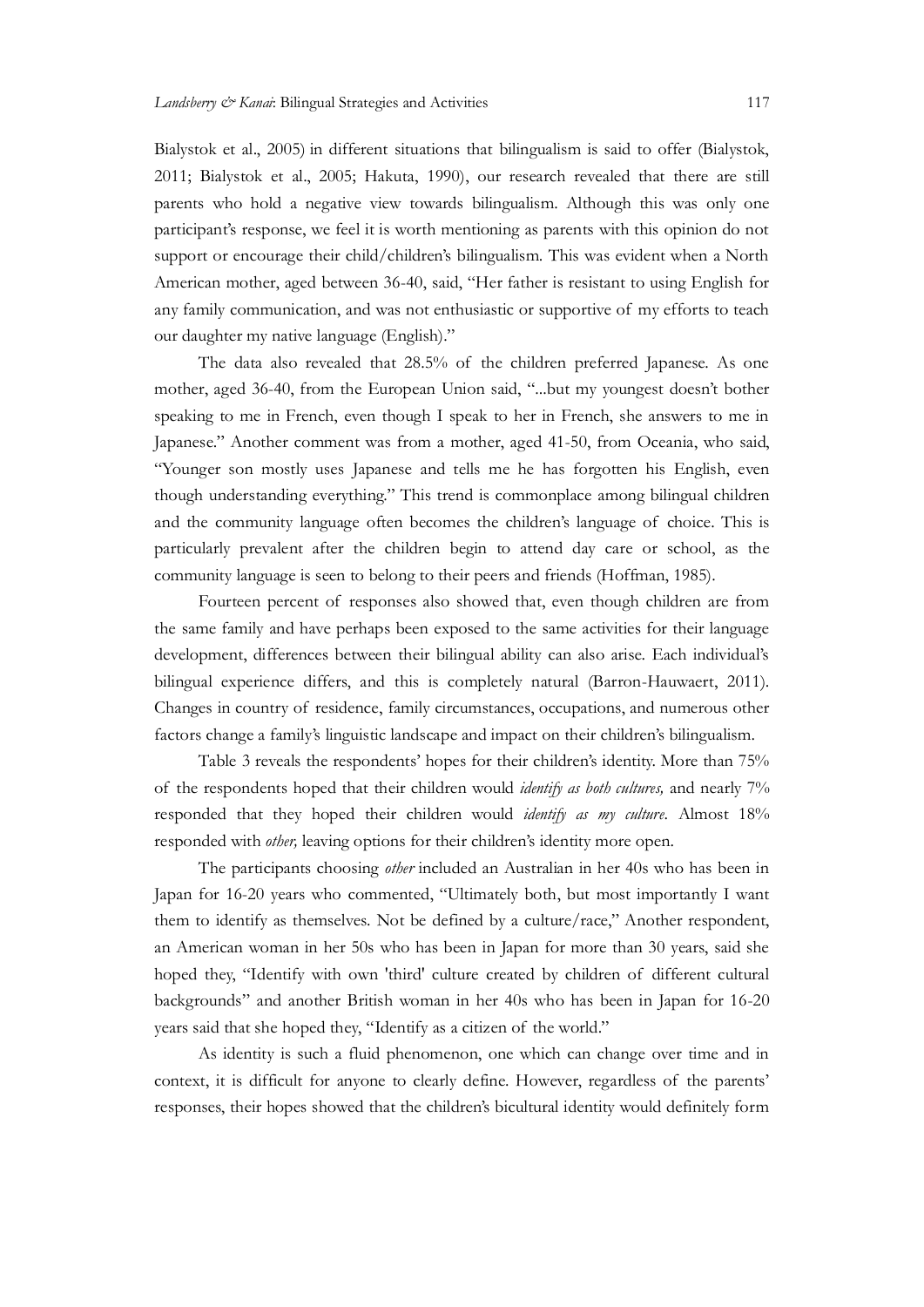Bialystok et al., 2005) in different situations that bilingualism is said to offer (Bialystok, 2011; Bialystok et al., 2005; Hakuta, 1990), our research revealed that there are still parents who hold a negative view towards bilingualism. Although this was only one participant's response, we feel it is worth mentioning as parents with this opinion do not support or encourage their child/children's bilingualism. This was evident when a North American mother, aged between 36-40, said, "Her father is resistant to using English for any family communication, and the state of munications that bilingualism is said to offer (Bialystok, 2011; Bialystok et al., 2005; Hakuta, 1990), our research revealed that there are still parents who hold a negative view our daughter my native language (English)."

The data also revealed that 28.5% of the children preferred Japanese. As one mother, aged 36-40, from the European Union said, "...but my youngest doesn't bother speaking to me in French, even though I speak to her in French, she answers to me in Japanese." Another comment was from a mother, aged 41-50, from Oceania, who said, "Younger son mostly uses Japanese and tells me he has forgotten his English, even though understanding everything." This trend is commonplace among bilingual children Bialystok et al., 2005) in different situations that bilingualism is said to offer (Bialystok, 2011; Bialystok et al., 2005; Hakuta, 1990), or research revealed that there are still participant's webolod a negative view to particularly prevalent after the children begin to attend day care or school, as the community language is seen to belong to their peers and friends (Hoffman, 1985). our daughter my native language (English)."<br>The data also revealed that 28.5% of the children preferred Japanese. As one<br>mother, aged 36-40, from the European Union said, "...but my youngest doesn't bother<br>speaking to me i speaking to me in French, even though 1 speak to her in French, she answers to me in Spagnaese." Another comment was from a mother, aged 41-50, from Oceania, who said, "Younger son mostly uses Japances and tells me he has

Fourteen percent of responses also showed that, even though children are from the same family and have perhaps been exposed to the same activities for their language development, differences between their bilingual ability can also arise. Each individual's bilingual experience differs, and this is completely natural (Barron-Hauwaert, 2011). factors change a family's linguistic landscape and impact on their children's bilingualism.

Table 3 reveals the respondents' hopes for their children's identity. More than 75% responded that they hoped their children would identify as my culture. Almost 18% responded with other, leaving options for their children's identity more open.

The participants choosing other included an Australian in her 40s who has been in Japan for 16-20 years who commented, "Ultimately both, but most importantly I want them to identify as themselves. Not be defined by a culture/race," Another respondent, an American woman in her 50s who has been in Japan for more than 30 years, said she Fourteen percent of responses also showed that, even though children are from<br>the same family and have perhaps been caposed to the same activities for their hangong<br>development, differences between their bilingoal ability backgrounds" and another British woman in her 40s who has been in Japan for 16-20 years said that she hoped they, "Identify as a citizen of the world." Changes in country of residence, family circumstances, occupations, and numerous other factors changes a dimily binguistic landscape and impact on their children's bilingualism. Table 3 reveslobs the respondents hoped tha

As identity is such a fluid phenomenon, one which can change over time and in responses, their hopes showed that the children's bicultural identity would definitely form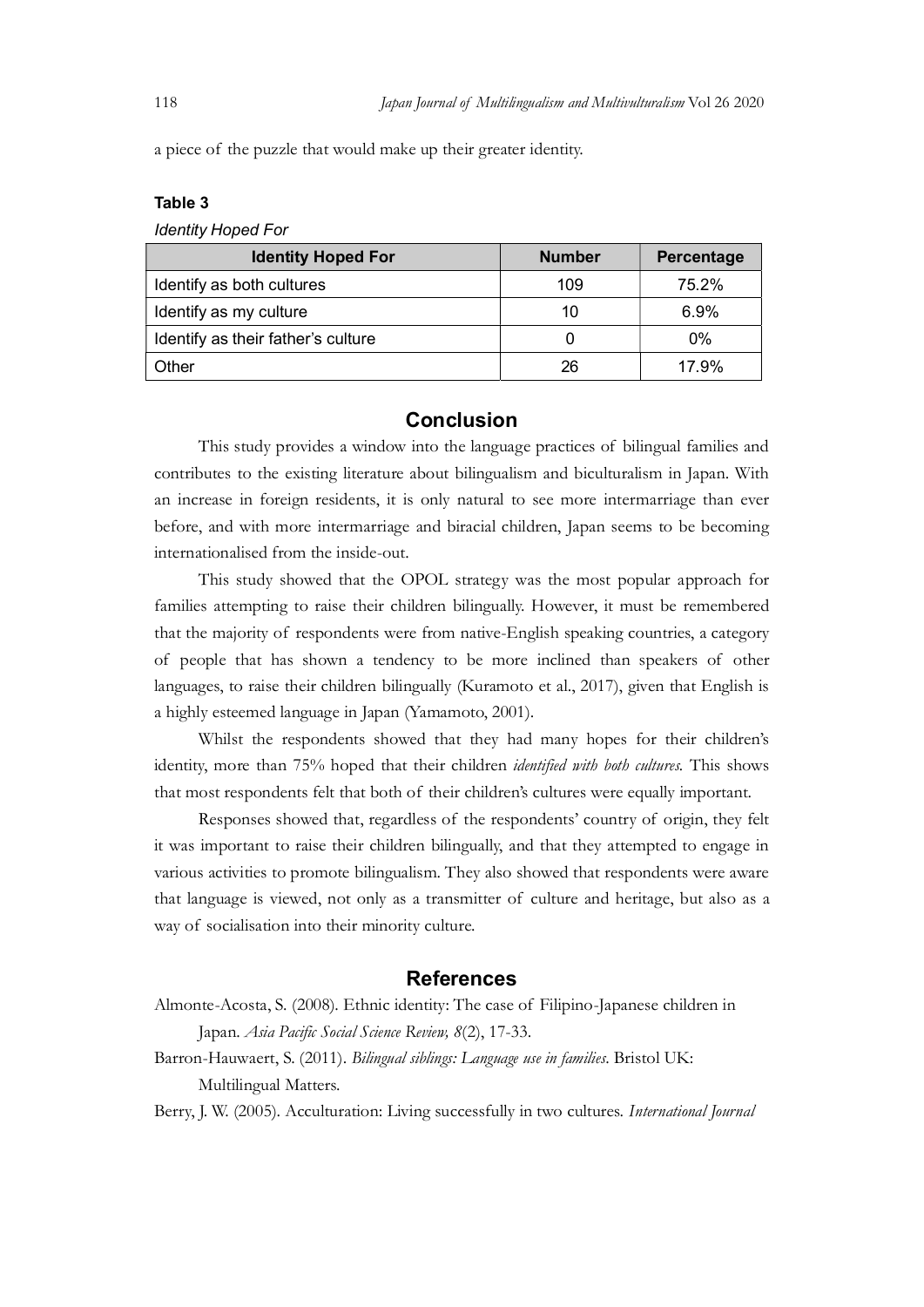Japan Journal of Multilingualism and Multivulturalism Vol 26 2020<br>a piece of the puzzle that would make up their greater identity.<br>**Table 3** a piece of the puzzle that would make up their greater identity.

#### Table 3

| 118                                                                                        |                   | Japan Journal of Multilingualism and Multivulturalism Vol 26 2020 |            |
|--------------------------------------------------------------------------------------------|-------------------|-------------------------------------------------------------------|------------|
| a piece of the puzzle that would make up their greater identity.                           |                   |                                                                   |            |
| Table 3                                                                                    |                   |                                                                   |            |
| <b>Identity Hoped For</b>                                                                  |                   |                                                                   |            |
| <b>Identity Hoped For</b>                                                                  |                   | <b>Number</b>                                                     | Percentage |
| Identify as both cultures                                                                  |                   | 109                                                               | 75.2%      |
| Identify as my culture                                                                     |                   | 10                                                                | 6.9%       |
| Identify as their father's culture                                                         |                   | $\mathbf{0}$                                                      | $0\%$      |
| Other                                                                                      |                   | 26                                                                | 17.9%      |
|                                                                                            |                   |                                                                   |            |
|                                                                                            | <b>Conclusion</b> |                                                                   |            |
| This study provides a window into the language practices of bilingual families and         |                   |                                                                   |            |
| contributes to the existing literature about bilingualism and biculturalism in Japan. With |                   |                                                                   |            |
| an increase in foreign residents, it is only natural to see more intermarriage than ever   |                   |                                                                   |            |
| before, and with more intermarriage and biracial children, Japan seems to be becoming      |                   |                                                                   |            |
| internationalised from the inside-out.                                                     |                   |                                                                   |            |
|                                                                                            |                   |                                                                   |            |

# Conclusion

This study showed that the OPOL strategy was the most popular approach for families attempting to raise their children bilingually. However, it must be remembered that the majority of respondents were from native-English speaking countries, a category **Conclusion 109** 75.2%<br> **Concify as my culture** 10 6.9%<br> **Concify as their father's culture** 10 6.9%<br> **Conclusion**<br>
26 17.9%<br> **Conclusion**<br>
This study provides a window into the language practices of bilingual families an languages, to raise their children bilingually (Kuramoto et al., 2017), given that English is a highly esteemed language in Japan (Yamamoto, 2001). This study provides a window into the language practices of bilingual families and<br>outes to the existing literature about bilingualism and biculuralism in Japan. With<br>rease in foreign residents, it is only natural to see m before, and with more intermarriage and biracial children, Japan scens to be becoming<br>internationalised from the inside-out.<br>This study showed that the OPOL strategy was the most popular approach for<br>families attempting to internationalised from the inside-out.<br>
This study showed that the OPOL strategy was the most popular appr<br>
families attempting to raise their children bilingually. However, it must be rem<br>
that the majority of respondents

Whilst the respondents showed that they had many hopes for their children's identity, more than 75% hoped that their children *identified with both cultures*. This shows that most respondents felt that both of their children's cultures were equally important.

it was important to raise their children bilingually, and that they attempted to engage in various activities to promote bilingualism. They also showed that respondents were aware

# References

- Almonte-Acosta, S. (2008). Ethnic identity: The case of Filipino-Japanese children in Japan. Asia Pacific Social Science Review, 8(2), 17-33.
- Barron-Hauwaert, S. (2011). Bilingual siblings: Language use in families. Bristol UK: Multilingual Matters.

Berry, J. W. (2005). Acculturation: Living successfully in two cultures. International Journal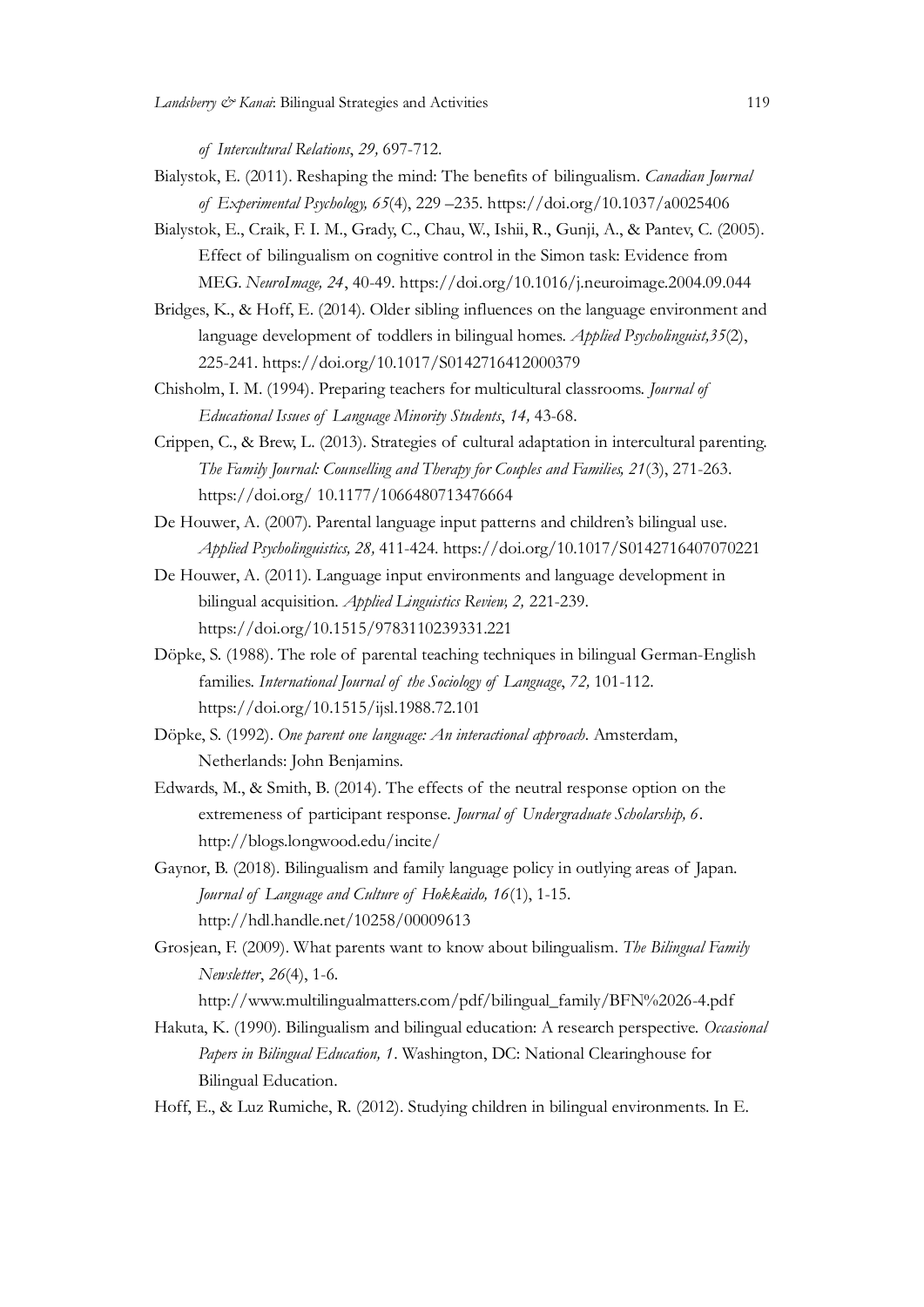- 
- erry & Kanai: Bilingual Strategies and Activities<br>of *Intercultural Relations*, 29, 697-712.<br>cok, E. (2011). Reshaping the mind: The benefits of bilingualism. *Canadian Jo*<br>of *Experimental Psychology, 65*(4), 229 –235. ht Landsberry & Kanai: Bilingual Strategies and Activities<br>
f Intercultural Relations, 29, 697-712.<br>
Bialystok, E. (2011). Reshaping the mind: The benefits of bilingualism. *Canadian Journal*<br>
of Experimental Psychology, 65(4 ory & Kanai: Bilingual Strategies and Activities<br>
of Intercultural Relations, 29, 697-712.<br>
ok, E. (2011). Reshaping the mind: The benefits of bilingualism. *Canadian Journal*<br>
of Experimental Psychology, 65(4), 229 –235. Bialystok, E., Craik, F. I. M., Grady, C., Chau, W., Ishii, R., Gunji, A., & Pantev, C. (2005). MEG. NeuroImage, 24, 40-49. https://doi.org/10.1016/j.neuroimage.2004.09.044
- erry & Kanai: Bilingual Strategies and Activities<br>
of *Interultural Relations*, 29, 697-712.<br>
ok, E. (2011). Reshaping the mind: The benefits of bilingualism. *Canadian Journal*<br>
of *Experimental Pyybology*, 65(4), 229 –23 Bridges, K., & Hoff, E. (2014). Older sibling influences on the language environment and ery e'x Kanai: Bilingual Strategies and Activities (19<br>
ok, E. (2011). Reshaping the mind: The benefits of bilingualism. *Canadian Journal*<br>
of *Experimental Psychology, 65*(4), 229–235. https://doi.org/10.1037/a0025406<br>
o 225-241. https://doi.org/10.1017/S0142716412000379 *Landsberry*  $\<<$  *Kanak Bilingual Strategies and Activities* 119<br> *of International Relations, 29, 697-712.*<br>
Bialystok, F., (2011). Reshaping the minic: The benefits of bilingualism. *Canadian Journal*<br> *of Experiment* Educational Islingual Strategies and Activities and Maringuage Comparison of *Internalteral Relations, 29, 697-712.*<br>
Educations, E. (2011). Reshaping the mind: The benefits of bilingualism. *Canadian Journal* of *Experime* MEG. *Neurolange, 24*, 40-49. hups://doi.org/10.1016/<sub>i</sub>.neuroimage.2004.09.044<br>
Bridges, K., & Hoff, E. (2014). Older sibling influences on the language environment and<br>
language development of todders in bilingual homes. s, K., & Hoff, F. (2014). Older sibling influences on the language environment and<br>language development of toddlers in bilingual homes. *Applied Pycholinguist*, 35(2),<br>225-241. https://doi.org/10.1017/S0142716412000379<br>Joh
- 
- Crippen, C., & Brew, L. (2013). Strategies of cultural adaptation in intercultural parenting. The Family Journal: Counselling and Therapy for Couples and Families, 21(3), 271-263. https://doi.org/ 10.1177/1066480713476664 extremeness of cultural adaptation in intercultural parenting.<br>The Unmity Journal: Counselling and Theraty for Couples and Unmilies, 21(3), 271-263.<br>https://doi.org/10.1177/1006480713476664<br>https://doi.org/10.1017/S014271
- De Houwer, A. (2007). Parental language input patterns and children's bilingual use. Applied Psycholinguistics, 28, 411-424. https://doi.org/10.1017/S0142716407070221
- De Houwer, A. (2011). Language input environments and language development in bilingual acquisition. Applied Linguistics Review, 2, 221-239. https://doi.org/10.1515/9783110239331.221
- https://doi.org/10.1515/ijsl.1988.72.101 Suwer, A. (2007). Parental language input patterns and children's bilingual use.<br> *Applied Psychologyatities*, 28, 411-424. https://doi.org/10.1017/S0142716407070221<br>
bilingual acquisition. *Applied Linguistics* Review, 2,
- Döpke, S. (1992). One parent one language: An interactional approach. Amsterdam, Netherlands: John Benjamins.
- Edwards, M., & Smith, B. (2014). The effects of the neutral response option on the
- Gaynor, B. (2018). Bilingualism and family language policy in outlying areas of Japan. http://hdl.handle.net/10258/00009613
- Grosjean, F. (2009). What parents want to know about bilingualism. The Bilingual Family Newsletter, 26(4), 1-6.
	- http://www.multilingualmatters.com/pdf/bilingual\_family/BFN%2026-4.pdf
- Hakuta, K. (1990). Bilingualism and bilingual education: A research perspective. *Occasional* Papers in Bilingual Education, 1. Washington, DC: National Clearinghouse for Bilingual Education.
- Hoff, E., & Luz Rumiche, R. (2012). Studying children in bilingual environments. In E.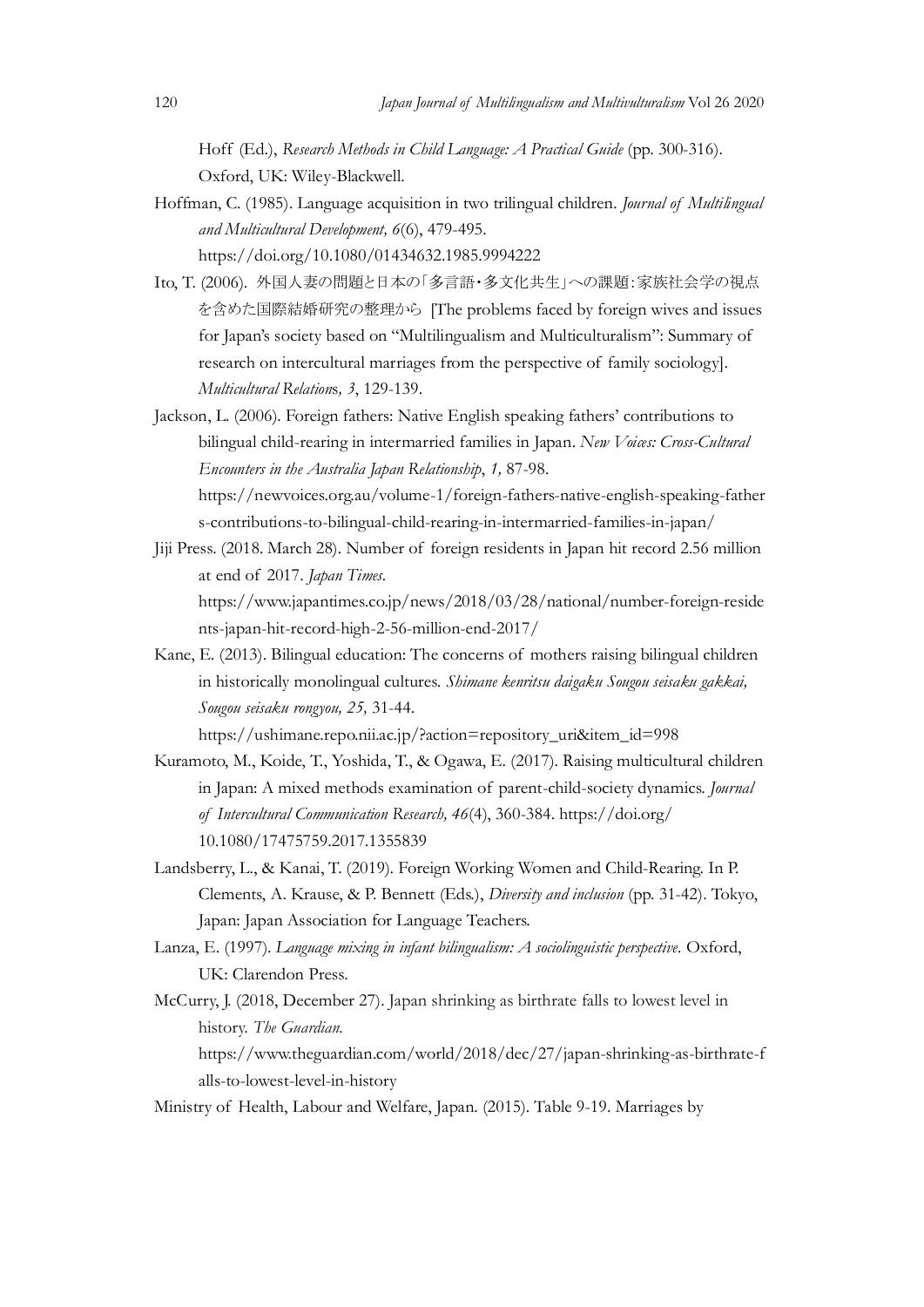120<br>Japan Journal of Multilingualism and Multivulturalism Vol 26 2020<br>Hoff (Ed.), Research Methods in Child Language: A Practical Guide (pp. 300-316).<br>Oxford, UK: Wiley-Blackwell.<br>Hoffman, C. (1985). Language acquisition i Hoff (Ed.), Research Methods in Child Language: A Practical Guide (pp. 300-316). Oxford, UK: Wiley-Blackwell.

and Multicultural Development, 6(6), 479-495.

https://doi.org/10.1080/01434632.1985.9994222

- 120<br>
Hoff (Ed.), Research Methods in Child Language: A Practical Guide (pp. 300-316).<br>
Oxford, UK: Wiley-Blackwell.<br>
Hoffman, C. (1985). Language acquisition in two trilingual children. *Journal of Multilingual*<br>
and Mul Ito, T. (2006). 外国人妻の問題と日本の「多言語・多文化共生」への課題:家族社会学の視点 を含めた国際結婚研究の整理から [The problems faced by foreign wives and issues Japan Journal of Multilingualism and Multimulturalism Vol 26 2020<br>
IIoff (Ed.), Research Methods in Child Language: A Practical Guide (pp. 300-316).<br>
Oxford, UK: Wiley-Blackwell.<br>
nan, C. (1985). I anguage acquisition in research on intercultural marriages from the perspective of family sociology]. Multicultural Relations, 3, 129-139. **Oxford, UK: Wiley-Blackwell.**<br>
Hoffma, C. (1985). Language acquisition in two trilingual children. Journal of *Multilingual*<br>
and Multidiatoral Dreteloment,  $G(0, 479-495$ .<br>
https://doi.org/10.1080/01434632.1985.9994222 aan, C. (1985). Language acquisition in two trilingual children. *Journal of Multilingual*<br>and Multicultural Development, 6(6), 479-495.<br>https://doi.org/10.1080/01434632.1985.9994222<br>2006). 外国人妻の問題と日本の「多言語・多文化共生」への課題:家族社会 Ito, T. (2006). 外国人妻の問題と日本の「多言語・多文化共生」への課題: 家族社会学の税点<br>
を含めた国際結婚研究の整理から [The problems faced by foreign wives and issues<br>
for Japan's society based on "Multingualism and Multiculturalism"? Summary of<br>
research on intercultu
- Jackson, L. (2006). Foreign fathers: Native English speaking fathers' contributions to bilingual child-rearing in intermarried families in Japan. New Voices: Cross-Cultural Encounters in the Australia Japan Relationship, 1, 87-98. https://newvoices.org.au/volume-1/foreign-fathers-native-english-speaking-father s-contributions-to-bilingual-child-rearing-in-intermarried-families-in-japan/
- https://www.japantimes.co.jp/news/2018/03/28/national/number-foreign-reside nts-japan-hit-record-high-2-56-million-end-2017/
- in historically monolingual cultures. Shimane kenritsu daigaku Sougou seisaku gakkai, Sougou seisaku rongyou, 25, 31-44.

https://ushimane.repo.nii.ac.jp/?action=repository\_uri&item\_id=998

- Kuramoto, M., Koide, T., Yoshida, T., & Ogawa, E. (2017). Raising multicultural children in Japan: A mixed methods examination of parent-child-society dynamics. Journal bilingual child-rearing in intermarried families in Japan. *New Voices: Cross-Cultural*<br> *Encounters in the Australia Japan Relationship, 1,* 87-98.<br>
https://newvoices.org.au/volume-1/foreign-fathers-native-english-speakin 10.1080/17475759.2017.1355839 https://ushimane.repo.nii.ac.jp/?action=repository\_uri&item\_id=998<br>Kuramoto, M., Koide, T., Yoshida, T., & Ogawa, E. (2017). Raising multicultural child<br>in Japan: A mixed methods examination of parent-child-society dynamic
- Landsberry, L., & Kanai, T. (2019). Foreign Working Women and Child-Rearing. In P. Clements, A. Krause, & P. Bennett (Eds.), Diversity and inclusion (pp. 31-42). Tokyo, Japan: Japan Association for Language Teachers.
- Lanza, E. (1997). Language mixing in infant bilingualism: A sociolinguistic perspective. Oxford, UK: Clarendon Press.
- McCurry, J. (2018, December 27). Japan shrinking as birthrate falls to lowest level in history. The Guardian. https://www.theguardian.com/world/2018/dec/27/japan-shrinking-as-birthrate-f alls-to-lowest-level-in-history
-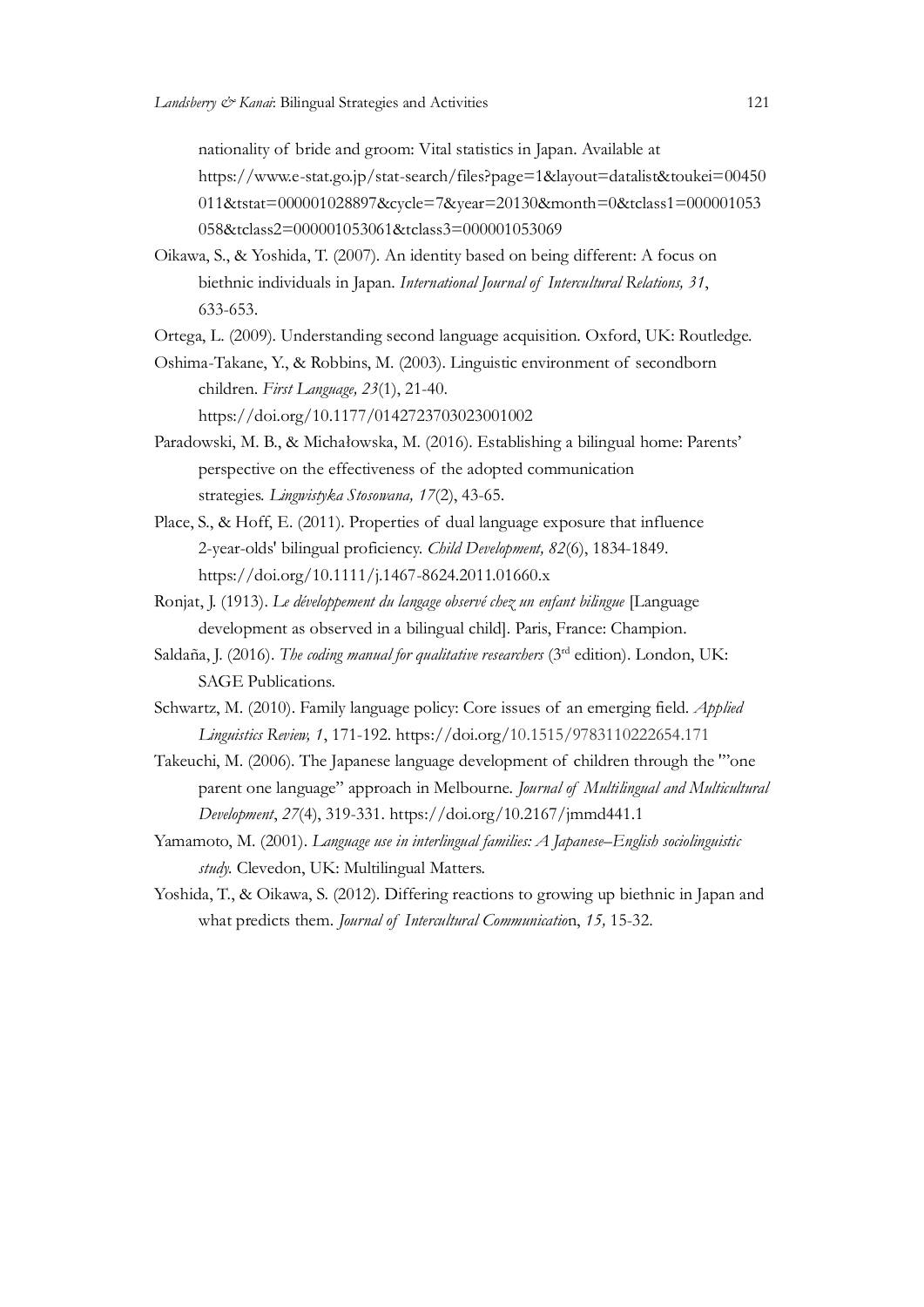nationality of bride and groom: Vital statistics in Japan. Available at

- https://www.e-stat.go.jp/stat-search/files?page=1&layout=datalist&toukei=00450
- 011&tstat=000001028897&cycle=7&year=20130&month=0&tclass1=000001053 058&tclass2=000001053061&tclass3=000001053069
- Oikawa, S., & Yoshida, T. (2007). An identity based on being different: A focus on erry & Kanai: Bilingual Strategies and Activities<br>
121<br>
nationality of bride and groom: Vital statistics in Japan. Available at<br>
https://www.e-stat.go.jp/stat-search/files?page=1&layout=datalist&toukci=00450<br>
011&tstat=000
- Ortega, L. (2009). Understanding second language acquisition. Oxford, UK: Routledge.
- Oshima-Takane, Y., & Robbins, M. (2003). Linguistic environment of secondborn children. First Language, 23(1), 21-40. https://doi.org/10.1177/0142723703023001002
- Paradowski, M. B., & Michałowska, M. (2016). Establishing a bilingual home: Parents' perspective on the effectiveness of the adopted communication strategies. Lingwistyka Stosowana, 17(2), 43-65.
- Place, S., & Hoff, E. (2011). Properties of dual language exposure that influence 2-year-olds' bilingual proficiency. Child Development, 82(6), 1834-1849. https://doi.org/10.1111/j.1467-8624.2011.01660.x
- Ronjat, J. (1913). Le développement du langage observé chez un enfant bilingue [Language development as observed in a bilingual child]. Paris, France: Champion.
- Saldaña, J. (2016). The coding manual for qualitative researchers ( $3<sup>rd</sup>$  edition). London, UK: SAGE Publications.
- Linguistics Review, 1, 171-192. https://doi.org/10.1515/9783110222654.171
- Ortega, L. (2009). Understanding second language acquisition. Oxford, UK: Routledge.<br>
Oshima-Takane, Y., & Robbins, M. (2010). Linguistic environment of secondborn<br>
children. *First Lamguage, 23*(1), 21-40.<br>
https://doi.o children. *First Language, 23*(1), 21-40.<br>
https://do.iorg/10.1177/0142723703023001002<br>
Paradoswis, M. B., & Michalowska, M. (2016). Establishing a bilingual home: Parents'<br>
perspective on the effectiveness of the adopted https://doi.org/10.1177/0142723703023001002<br>wski, M. B, & Michalowska, M. (2016). Establishing a bilingual home: Parents'<br>perspective one the effectiveness of the adopted communication<br>strategies *I singuistyles Stosomma,* Development, 27(4), 319-331. https://doi.org/10.2167/jmmd441.1 2-year-olds' bilingual proficiency. *Child Development*, 82(6), 1834-1849.<br>
https://doi.org/10.11111/j.1467-8624-2011.01660*x*<br>
1, [0113). Le dévelopment an langage observe does an outpart bilingue [Language<br>
development a
- Yamamoto, M. (2001). Language use in interlingual families: A Japanese–English sociolinguistic study. Clevedon, UK: Multilingual Matters.
- Yoshida, T., & Oikawa, S. (2012). Differing reactions to growing up biethnic in Japan and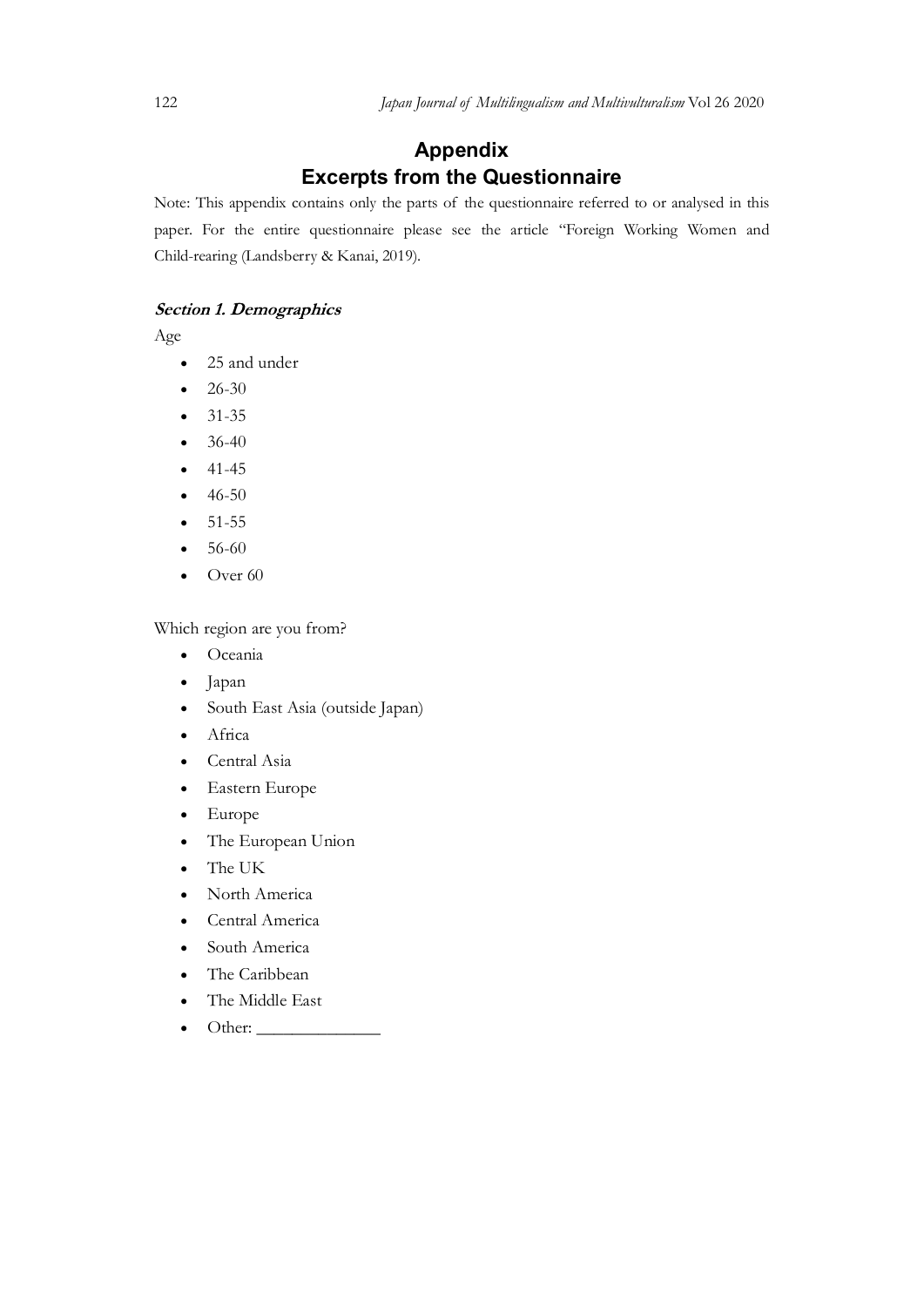# Appendix Excerpts from the Questionnaire

122<br>
122 Japan Journal of Multilingualism and Multivulturalism Vol 26 2020<br>
122 **Appendix<br>
122 Appendix<br>
122 Appendix<br>
122 Appendix<br>
122 Appendix<br>
122 Appendix<br>
122 Appendix<br>
122 Appendix<br>
122 Appendix<br>
122 Appendix<br>
122 A** Appendix<br>
122 Japan Journal of Multilingualism and Multivulturalism Vol 26 2020<br>
122 **Excerpts from the Questionnaire**<br>
Note: This appendix contains only the parts of the questionnaire referred to or analysed in this<br>
123 paper. For the entire questionnaire please see the article "Foreign Working Women and Child-rearing (Landsberry & Kanai, 2019).

Age

- 25 and under
- 26-30
- 31-35
- 36-40
- 41-45
- 46-50
- 51-55
- 56-60
- Over 60

Which region are you from?

- Oceania
- Japan
- South East Asia (outside Japan)
- Africa
- Central Asia
- Eastern Europe
- Europe
- The European Union
- The UK
- North America
- Central America
- South America
- The Caribbean
- The Middle East
- Other: \_\_\_\_\_\_\_\_\_\_\_\_\_\_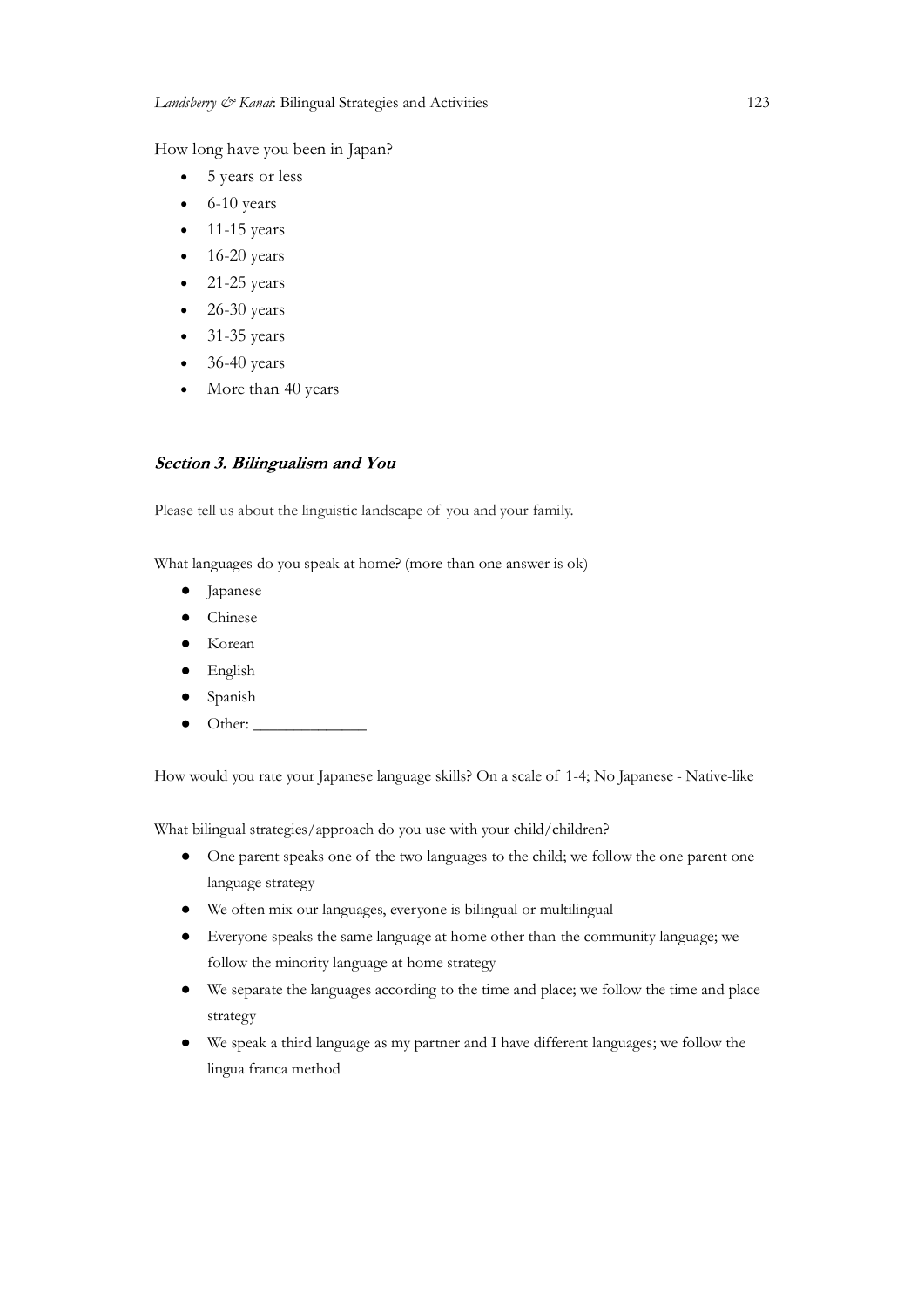How long have you been in Japan?

- 5 years or less
- $\bullet$  6-10 years
- 11-15 years
- 16-20 years
- 21-25 years
- 26-30 years
- 31-35 years
- 36-40 years
- More than 40 years

How long have you been in Japan?<br>
• 5 years or less<br>
• 1-15 years<br>
• 16-20 years<br>
• 21-25 years<br>
• 25-30 years<br>
• 31-35 years<br>
• 35-40 years<br>
• 36-40 years<br>
• More than 40 years<br> **Section 3. Bilingualism and You**<br> **Please** What languages do you speak at home? (more than one answer is ok)

- Japanese
- Chinese
- Korean
- English
- Spanish
- Other:

What bilingual strategies/approach do you use with your child/children?

- Section 3. Bilingualism and You<br>
Please tell us about the linguistic landscape of you and your family.<br>
What languages do you speak at home? (more than one answer is ok)<br>
 Japanese<br>
 Chinese<br>
 Korean<br>
 Duher:<br>
How woul language strategy
	- We often mix our languages, everyone is bilingual or multilingual
	- one tell us about the linguistic landscape of you and your family.<br> **Chinese**<br>
	 Languages do you speak at home? (more than one answer is ok)<br>
	 Japanese<br>
	 Chinese<br>
	 Chines:<br>
	 Other:<br>
	 Other:<br>
	 We fore parent speaks o ● Everyone speaks the same language at home other than the community language; we follow the minority language at home strategy
	- We separate the languages according to the time and place; we follow the time and place strategy
	- We speak a third language as my partner and I have different languages; we follow the lingua franca method